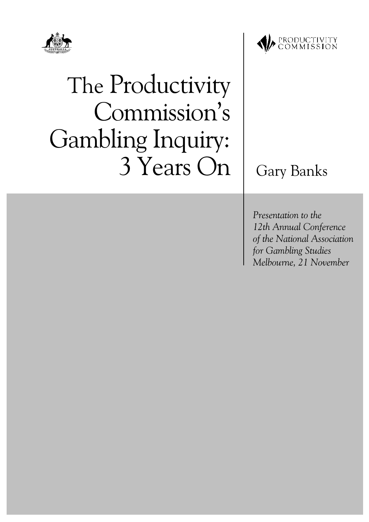



# The Productivity Commission's **Gambling Inquiry:** 3 Years On

# **Gary Banks**

Presentation to the 12th Annual Conference of the National Association for Gambling Studies Melbourne, 21 November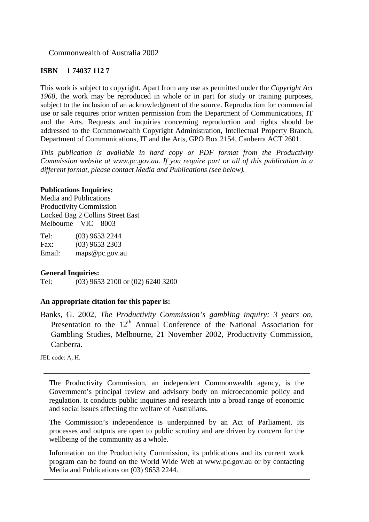Commonwealth of Australia 2002

#### **ISBN 1 74037 112 7**

This work is subject to copyright. Apart from any use as permitted under the *Copyright Act 1968*, the work may be reproduced in whole or in part for study or training purposes, subject to the inclusion of an acknowledgment of the source. Reproduction for commercial use or sale requires prior written permission from the Department of Communications, IT and the Arts. Requests and inquiries concerning reproduction and rights should be addressed to the Commonwealth Copyright Administration, Intellectual Property Branch, Department of Communications, IT and the Arts, GPO Box 2154, Canberra ACT 2601.

*This publication is available in hard copy or PDF format from the Productivity Commission website at www.pc.gov.au. If you require part or all of this publication in a different format, please contact Media and Publications (see below).*

#### **Publications Inquiries:**

Media and Publications Productivity Commission Locked Bag 2 Collins Street East Melbourne VIC 8003

| Tel:   | $(03)$ 9653 2244 |
|--------|------------------|
| Fax:   | $(03)$ 9653 2303 |
| Email: | maps@pc.gov.au   |

#### **General Inquiries:**

Tel: (03) 9653 2100 or (02) 6240 3200

#### **An appropriate citation for this paper is:**

Banks, G. 2002, *The Productivity Commission's gambling inquiry: 3 years on*, Presentation to the 12<sup>th</sup> Annual Conference of the National Association for Gambling Studies, Melbourne, 21 November 2002, Productivity Commission, Canberra.

JEL code: A, H.

The Productivity Commission, an independent Commonwealth agency, is the Government's principal review and advisory body on microeconomic policy and regulation. It conducts public inquiries and research into a broad range of economic and social issues affecting the welfare of Australians.

The Commission's independence is underpinned by an Act of Parliament. Its processes and outputs are open to public scrutiny and are driven by concern for the wellbeing of the community as a whole.

Information on the Productivity Commission, its publications and its current work program can be found on the World Wide Web at www.pc.gov.au or by contacting Media and Publications on (03) 9653 2244.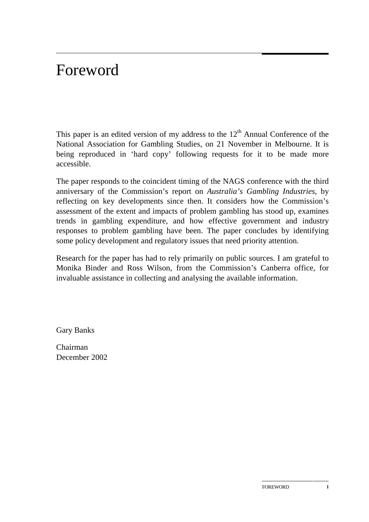# Foreword

This paper is an edited version of my address to the  $12<sup>th</sup>$  Annual Conference of the National Association for Gambling Studies, on 21 November in Melbourne. It is being reproduced in 'hard copy' following requests for it to be made more accessible.

The paper responds to the coincident timing of the NAGS conference with the third anniversary of the Commission's report on *Australia's Gambling Industries*, by reflecting on key developments since then. It considers how the Commission's assessment of the extent and impacts of problem gambling has stood up, examines trends in gambling expenditure, and how effective government and industry responses to problem gambling have been. The paper concludes by identifying some policy development and regulatory issues that need priority attention.

Research for the paper has had to rely primarily on public sources. I am grateful to Monika Binder and Ross Wilson, from the Commission's Canberra office, for invaluable assistance in collecting and analysing the available information.

Gary Banks

Chairman December 2002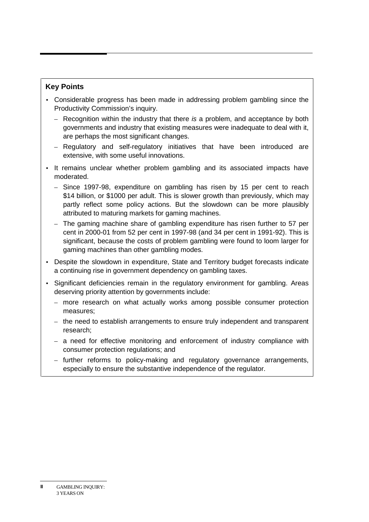#### **Key Points**

- Considerable progress has been made in addressing problem gambling since the Productivity Commission's inquiry.
	- $-$  Recognition within the industry that there is a problem, and acceptance by both governments and industry that existing measures were inadequate to deal with it, are perhaps the most significant changes.
	- Regulatory and self-regulatory initiatives that have been introduced are extensive, with some useful innovations.
- It remains unclear whether problem gambling and its associated impacts have moderated.
	- Since 1997-98, expenditure on gambling has risen by 15 per cent to reach \$14 billion, or \$1000 per adult. This is slower growth than previously, which may partly reflect some policy actions. But the slowdown can be more plausibly attributed to maturing markets for gaming machines.
	- The gaming machine share of gambling expenditure has risen further to 57 per cent in 2000-01 from 52 per cent in 1997-98 (and 34 per cent in 1991-92). This is significant, because the costs of problem gambling were found to loom larger for gaming machines than other gambling modes.
- Despite the slowdown in expenditure, State and Territory budget forecasts indicate a continuing rise in government dependency on gambling taxes.
- Significant deficiencies remain in the regulatory environment for gambling. Areas deserving priority attention by governments include:
	- more research on what actually works among possible consumer protection measures;
	- the need to establish arrangements to ensure truly independent and transparent research;
	- a need for effective monitoring and enforcement of industry compliance with consumer protection regulations; and
	- further reforms to policy-making and regulatory governance arrangements, especially to ensure the substantive independence of the regulator.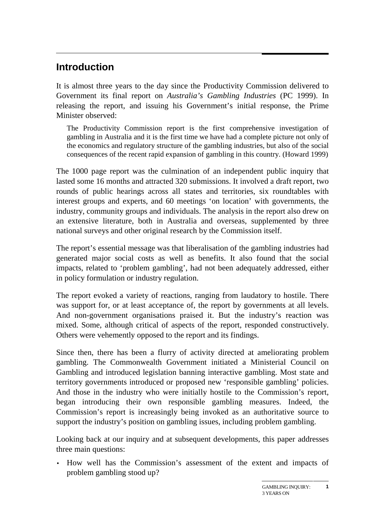# **Introduction**

It is almost three years to the day since the Productivity Commission delivered to Government its final report on *Australia's Gambling Industries* (PC 1999). In releasing the report, and issuing his Government's initial response, the Prime Minister observed:

The Productivity Commission report is the first comprehensive investigation of gambling in Australia and it is the first time we have had a complete picture not only of the economics and regulatory structure of the gambling industries, but also of the social consequences of the recent rapid expansion of gambling in this country. (Howard 1999)

The 1000 page report was the culmination of an independent public inquiry that lasted some 16 months and attracted 320 submissions. It involved a draft report, two rounds of public hearings across all states and territories, six roundtables with interest groups and experts, and 60 meetings 'on location' with governments, the industry, community groups and individuals. The analysis in the report also drew on an extensive literature, both in Australia and overseas, supplemented by three national surveys and other original research by the Commission itself.

The report's essential message was that liberalisation of the gambling industries had generated major social costs as well as benefits. It also found that the social impacts, related to 'problem gambling', had not been adequately addressed, either in policy formulation or industry regulation.

The report evoked a variety of reactions, ranging from laudatory to hostile. There was support for, or at least acceptance of, the report by governments at all levels. And non-government organisations praised it. But the industry's reaction was mixed. Some, although critical of aspects of the report, responded constructively. Others were vehemently opposed to the report and its findings.

Since then, there has been a flurry of activity directed at ameliorating problem gambling. The Commonwealth Government initiated a Ministerial Council on Gambling and introduced legislation banning interactive gambling. Most state and territory governments introduced or proposed new 'responsible gambling' policies. And those in the industry who were initially hostile to the Commission's report, began introducing their own responsible gambling measures. Indeed, the Commission's report is increasingly being invoked as an authoritative source to support the industry's position on gambling issues, including problem gambling.

Looking back at our inquiry and at subsequent developments, this paper addresses three main questions:

• How well has the Commission's assessment of the extent and impacts of problem gambling stood up?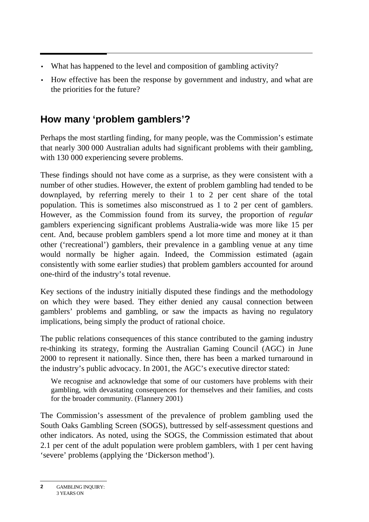- What has happened to the level and composition of gambling activity?
- How effective has been the response by government and industry, and what are the priorities for the future?

# **How many 'problem gamblers'?**

Perhaps the most startling finding, for many people, was the Commission's estimate that nearly 300 000 Australian adults had significant problems with their gambling, with 130 000 experiencing severe problems.

These findings should not have come as a surprise, as they were consistent with a number of other studies. However, the extent of problem gambling had tended to be downplayed, by referring merely to their 1 to 2 per cent share of the total population. This is sometimes also misconstrued as 1 to 2 per cent of gamblers. However, as the Commission found from its survey, the proportion of *regular* gamblers experiencing significant problems Australia-wide was more like 15 per cent. And, because problem gamblers spend a lot more time and money at it than other ('recreational') gamblers, their prevalence in a gambling venue at any time would normally be higher again. Indeed, the Commission estimated (again consistently with some earlier studies) that problem gamblers accounted for around one-third of the industry's total revenue.

Key sections of the industry initially disputed these findings and the methodology on which they were based. They either denied any causal connection between gamblers' problems and gambling, or saw the impacts as having no regulatory implications, being simply the product of rational choice.

The public relations consequences of this stance contributed to the gaming industry re-thinking its strategy, forming the Australian Gaming Council (AGC) in June 2000 to represent it nationally. Since then, there has been a marked turnaround in the industry's public advocacy. In 2001, the AGC's executive director stated:

We recognise and acknowledge that some of our customers have problems with their gambling, with devastating consequences for themselves and their families, and costs for the broader community. (Flannery 2001)

The Commission's assessment of the prevalence of problem gambling used the South Oaks Gambling Screen (SOGS), buttressed by self-assessment questions and other indicators. As noted, using the SOGS, the Commission estimated that about 2.1 per cent of the adult population were problem gamblers, with 1 per cent having 'severe' problems (applying the 'Dickerson method').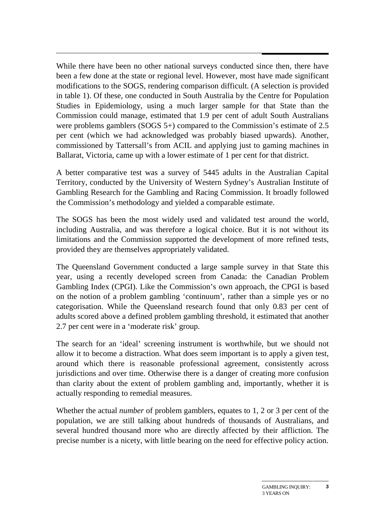While there have been no other national surveys conducted since then, there have been a few done at the state or regional level. However, most have made significant modifications to the SOGS, rendering comparison difficult. (A selection is provided in table 1). Of these, one conducted in South Australia by the Centre for Population Studies in Epidemiology, using a much larger sample for that State than the Commission could manage, estimated that 1.9 per cent of adult South Australians were problems gamblers (SOGS 5+) compared to the Commission's estimate of 2.5 per cent (which we had acknowledged was probably biased upwards). Another, commissioned by Tattersall's from ACIL and applying just to gaming machines in Ballarat, Victoria, came up with a lower estimate of 1 per cent for that district.

A better comparative test was a survey of 5445 adults in the Australian Capital Territory, conducted by the University of Western Sydney's Australian Institute of Gambling Research for the Gambling and Racing Commission. It broadly followed the Commission's methodology and yielded a comparable estimate.

The SOGS has been the most widely used and validated test around the world, including Australia, and was therefore a logical choice. But it is not without its limitations and the Commission supported the development of more refined tests, provided they are themselves appropriately validated.

The Queensland Government conducted a large sample survey in that State this year, using a recently developed screen from Canada: the Canadian Problem Gambling Index (CPGI). Like the Commission's own approach, the CPGI is based on the notion of a problem gambling 'continuum', rather than a simple yes or no categorisation. While the Queensland research found that only 0.83 per cent of adults scored above a defined problem gambling threshold, it estimated that another 2.7 per cent were in a 'moderate risk' group.

The search for an 'ideal' screening instrument is worthwhile, but we should not allow it to become a distraction. What does seem important is to apply a given test, around which there is reasonable professional agreement, consistently across jurisdictions and over time. Otherwise there is a danger of creating more confusion than clarity about the extent of problem gambling and, importantly, whether it is actually responding to remedial measures.

Whether the actual *number* of problem gamblers, equates to 1, 2 or 3 per cent of the population, we are still talking about hundreds of thousands of Australians, and several hundred thousand more who are directly affected by their affliction. The precise number is a nicety, with little bearing on the need for effective policy action.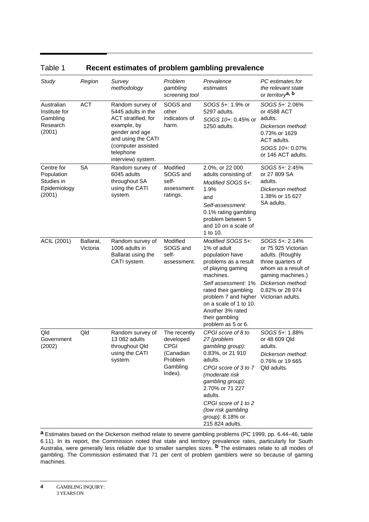| Study                                                            | Region                | Survey<br>methodology                                                                                                                                                         | Problem<br>gambling<br>screening tool                                                   | Prevalence<br>estimates                                                                                                                                                                                                                                                       | PC estimates for<br>the relevant state<br>or territory <sup>a, b</sup>                                                                                                                  |
|------------------------------------------------------------------|-----------------------|-------------------------------------------------------------------------------------------------------------------------------------------------------------------------------|-----------------------------------------------------------------------------------------|-------------------------------------------------------------------------------------------------------------------------------------------------------------------------------------------------------------------------------------------------------------------------------|-----------------------------------------------------------------------------------------------------------------------------------------------------------------------------------------|
| Australian<br>Institute for<br>Gambling<br>Research<br>(2001)    | <b>ACT</b>            | Random survey of<br>5445 adults in the<br>ACT stratified, for<br>example, by<br>gender and age<br>and using the CATI<br>(computer assisted<br>telephone<br>interview) system. | SOGS and<br>other<br>indicators of<br>harm.                                             | $SOGS 5 + 1.9%$ or<br>5297 adults.<br>SOGS 10+: 0.45% or<br>1250 adults.                                                                                                                                                                                                      | SOGS 5+: 2.06%<br>or 4588 ACT<br>adults.<br>Dickerson method:<br>0.73% or 1629<br>ACT adults.<br>SOGS 10+: 0.07%<br>or 146 ACT adults.                                                  |
| Centre for<br>Population<br>Studies in<br>Epidemiology<br>(2001) | <b>SA</b>             | Random survey of<br>6045 adults<br>throughout SA<br>using the CATI<br>system.                                                                                                 | Modified<br>SOGS and<br>self-<br>assessment<br>ratings.                                 | 2.0%, or 22 000<br>adults consisting of:<br>Modified $SOGS 5+$ :<br>1.9%<br>and<br>Self-assessment:<br>0.1% rating gambling<br>problem between 5<br>and 10 on a scale of<br>1 to 10.                                                                                          | SOGS 5+: 2.45%<br>or 27 809 SA<br>adults.<br>Dickerson method:<br>1.38% or 15 627<br>SA adults.                                                                                         |
| ACIL (2001)                                                      | Ballarat,<br>Victoria | Random survey of<br>1006 adults in<br>Ballarat using the<br>CATI system.                                                                                                      | Modified<br>SOGS and<br>self-<br>assessment.                                            | Modified $SOGS 5+$ :<br>1% of adult<br>population have<br>problems as a result<br>of playing gaming<br>machines.<br>Self assessment: 1%<br>rated their gambling<br>problem 7 and higher<br>on a scale of 1 to 10.<br>Another 3% rated<br>their gambling<br>problem as 5 or 6. | SOGS 5+: 2.14%<br>or 75 925 Victorian<br>adults. (Roughly<br>three quarters of<br>whom as a result of<br>gaming machines.)<br>Dickerson method:<br>0.82% or 28 974<br>Victorian adults. |
| Qld<br>Government<br>(2002)                                      | Qld                   | Random survey of<br>13 082 adults<br>throughout Qld<br>using the CATI<br>system.                                                                                              | The recently<br>developed<br><b>CPGI</b><br>(Canadian<br>Problem<br>Gambling<br>Index). | CPGI score of 8 to<br>27 (problem<br>gambling group):<br>0.83%, or 21 910<br>adults.<br>CPGI score of 3 to 7<br>(moderate risk<br>gambling group):<br>2.70% or 71 227<br>adults.<br>CPGI score of 1 to 2<br>(low risk gambling<br><i>group):</i> 8.18% or<br>215 824 adults.  | SOGS 5+: 1.88%<br>or 48 609 Qld<br>adults.<br>Dickerson method:<br>0.76% or 19 665<br>Qld adults.                                                                                       |

Table 1 **Recent estimates of problem gambling prevalence**

**a** Estimates based on the Dickerson method relate to severe gambling problems (PC 1999, pp. 6.44–46, table 6.11). In its report, the Commission noted that state and territory prevalence rates, particularly for South Australia, were generally less reliable due to smaller samples sizes. **b** The estimates relate to all modes of gambling. The Commission estimated that 71 per cent of problem gamblers were so because of gaming machines.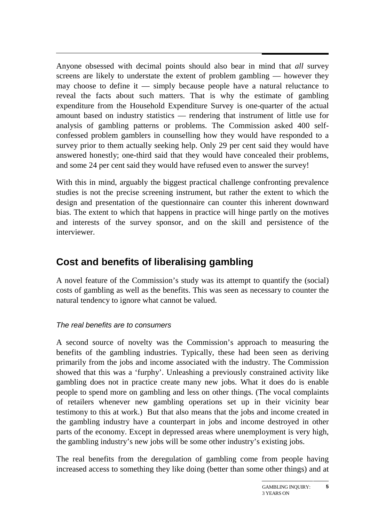Anyone obsessed with decimal points should also bear in mind that *all* survey screens are likely to understate the extent of problem gambling — however they may choose to define it  $-$  simply because people have a natural reluctance to reveal the facts about such matters. That is why the estimate of gambling expenditure from the Household Expenditure Survey is one-quarter of the actual amount based on industry statistics — rendering that instrument of little use for analysis of gambling patterns or problems. The Commission asked 400 selfconfessed problem gamblers in counselling how they would have responded to a survey prior to them actually seeking help. Only 29 per cent said they would have answered honestly; one-third said that they would have concealed their problems, and some 24 per cent said they would have refused even to answer the survey!

With this in mind, arguably the biggest practical challenge confronting prevalence studies is not the precise screening instrument, but rather the extent to which the design and presentation of the questionnaire can counter this inherent downward bias. The extent to which that happens in practice will hinge partly on the motives and interests of the survey sponsor, and on the skill and persistence of the interviewer.

# **Cost and benefits of liberalising gambling**

A novel feature of the Commission's study was its attempt to quantify the (social) costs of gambling as well as the benefits. This was seen as necessary to counter the natural tendency to ignore what cannot be valued.

#### The real benefits are to consumers

A second source of novelty was the Commission's approach to measuring the benefits of the gambling industries. Typically, these had been seen as deriving primarily from the jobs and income associated with the industry. The Commission showed that this was a 'furphy'. Unleashing a previously constrained activity like gambling does not in practice create many new jobs. What it does do is enable people to spend more on gambling and less on other things. (The vocal complaints of retailers whenever new gambling operations set up in their vicinity bear testimony to this at work.) But that also means that the jobs and income created in the gambling industry have a counterpart in jobs and income destroyed in other parts of the economy. Except in depressed areas where unemployment is very high, the gambling industry's new jobs will be some other industry's existing jobs.

The real benefits from the deregulation of gambling come from people having increased access to something they like doing (better than some other things) and at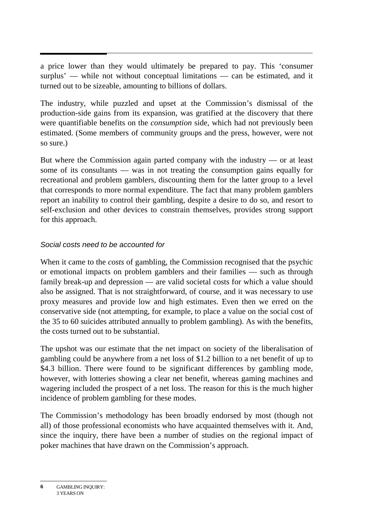a price lower than they would ultimately be prepared to pay. This 'consumer surplus' — while not without conceptual limitations — can be estimated, and it turned out to be sizeable, amounting to billions of dollars.

The industry, while puzzled and upset at the Commission's dismissal of the production-side gains from its expansion, was gratified at the discovery that there were quantifiable benefits on the *consumption* side, which had not previously been estimated. (Some members of community groups and the press, however, were not so sure.)

But where the Commission again parted company with the industry — or at least some of its consultants — was in not treating the consumption gains equally for recreational and problem gamblers, discounting them for the latter group to a level that corresponds to more normal expenditure. The fact that many problem gamblers report an inability to control their gambling, despite a desire to do so, and resort to self-exclusion and other devices to constrain themselves, provides strong support for this approach.

#### Social costs need to be accounted for

When it came to the *costs* of gambling, the Commission recognised that the psychic or emotional impacts on problem gamblers and their families — such as through family break-up and depression — are valid societal costs for which a value should also be assigned. That is not straightforward, of course, and it was necessary to use proxy measures and provide low and high estimates. Even then we erred on the conservative side (not attempting, for example, to place a value on the social cost of the 35 to 60 suicides attributed annually to problem gambling). As with the benefits, the costs turned out to be substantial.

The upshot was our estimate that the net impact on society of the liberalisation of gambling could be anywhere from a net loss of \$1.2 billion to a net benefit of up to \$4.3 billion. There were found to be significant differences by gambling mode, however, with lotteries showing a clear net benefit, whereas gaming machines and wagering included the prospect of a net loss. The reason for this is the much higher incidence of problem gambling for these modes.

The Commission's methodology has been broadly endorsed by most (though not all) of those professional economists who have acquainted themselves with it. And, since the inquiry, there have been a number of studies on the regional impact of poker machines that have drawn on the Commission's approach.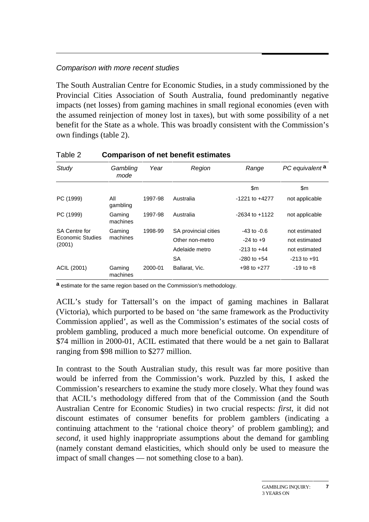#### Comparison with more recent studies

The South Australian Centre for Economic Studies, in a study commissioned by the Provincial Cities Association of South Australia, found predominantly negative impacts (net losses) from gaming machines in small regional economies (even with the assumed reinjection of money lost in taxes), but with some possibility of a net benefit for the State as a whole. This was broadly consistent with the Commission's own findings (table 2).

| $1$ up to $-$              | 00panoon 0. not sonont collinatoo |         |                      |                    |                            |
|----------------------------|-----------------------------------|---------|----------------------|--------------------|----------------------------|
| Study                      | Gambling<br>Year<br>mode          |         | Region               | Range              | PC equivalent <sup>a</sup> |
|                            |                                   |         |                      | \$m                | \$m                        |
| PC (1999)                  | All<br>gambling                   | 1997-98 | Australia            | $-1221$ to $+4277$ | not applicable             |
| PC (1999)                  | Gaming<br>machines                | 1997-98 | Australia            | $-2634$ to $+1122$ | not applicable             |
| <b>SA Centre for</b>       | Gaming                            | 1998-99 | SA provincial cities | $-43$ to $-0.6$    | not estimated              |
| Economic Studies<br>(2001) | machines                          |         | Other non-metro      | $-24$ to $+9$      | not estimated              |
|                            |                                   |         | Adelaide metro       | $-213$ to $+44$    | not estimated              |
|                            |                                   |         | <b>SA</b>            | $-280$ to $+54$    | $-213$ to $+91$            |
| ACIL (2001)                | Gaming<br>machines                | 2000-01 | Ballarat, Vic.       | $+98$ to $+277$    | $-19$ to $+8$              |

#### Table 2 **Comparison of net benefit estimates**

**a** estimate for the same region based on the Commission's methodology.

ACIL's study for Tattersall's on the impact of gaming machines in Ballarat (Victoria), which purported to be based on 'the same framework as the Productivity Commission applied', as well as the Commission's estimates of the social costs of problem gambling, produced a much more beneficial outcome. On expenditure of \$74 million in 2000-01, ACIL estimated that there would be a net gain to Ballarat ranging from \$98 million to \$277 million.

In contrast to the South Australian study, this result was far more positive than would be inferred from the Commission's work. Puzzled by this, I asked the Commission's researchers to examine the study more closely. What they found was that ACIL's methodology differed from that of the Commission (and the South Australian Centre for Economic Studies) in two crucial respects: *first*, it did not discount estimates of consumer benefits for problem gamblers (indicating a continuing attachment to the 'rational choice theory' of problem gambling); and *second*, it used highly inappropriate assumptions about the demand for gambling (namely constant demand elasticities, which should only be used to measure the impact of small changes — not something close to a ban).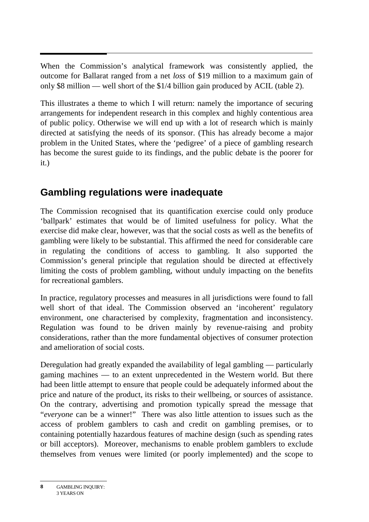When the Commission's analytical framework was consistently applied, the outcome for Ballarat ranged from a net *loss* of \$19 million to a maximum gain of only \$8 million — well short of the \$1/4 billion gain produced by ACIL (table 2).

This illustrates a theme to which I will return: namely the importance of securing arrangements for independent research in this complex and highly contentious area of public policy. Otherwise we will end up with a lot of research which is mainly directed at satisfying the needs of its sponsor. (This has already become a major problem in the United States, where the 'pedigree' of a piece of gambling research has become the surest guide to its findings, and the public debate is the poorer for it.)

# **Gambling regulations were inadequate**

The Commission recognised that its quantification exercise could only produce 'ballpark' estimates that would be of limited usefulness for policy. What the exercise did make clear, however, was that the social costs as well as the benefits of gambling were likely to be substantial. This affirmed the need for considerable care in regulating the conditions of access to gambling. It also supported the Commission's general principle that regulation should be directed at effectively limiting the costs of problem gambling, without unduly impacting on the benefits for recreational gamblers.

In practice, regulatory processes and measures in all jurisdictions were found to fall well short of that ideal. The Commission observed an 'incoherent' regulatory environment, one characterised by complexity, fragmentation and inconsistency. Regulation was found to be driven mainly by revenue-raising and probity considerations, rather than the more fundamental objectives of consumer protection and amelioration of social costs.

Deregulation had greatly expanded the availability of legal gambling — particularly gaming machines — to an extent unprecedented in the Western world. But there had been little attempt to ensure that people could be adequately informed about the price and nature of the product, its risks to their wellbeing, or sources of assistance. On the contrary, advertising and promotion typically spread the message that "*everyone* can be a winner!" There was also little attention to issues such as the access of problem gamblers to cash and credit on gambling premises, or to containing potentially hazardous features of machine design (such as spending rates or bill acceptors). Moreover, mechanisms to enable problem gamblers to exclude themselves from venues were limited (or poorly implemented) and the scope to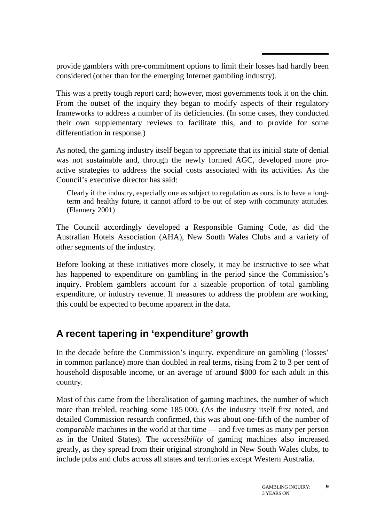provide gamblers with pre-commitment options to limit their losses had hardly been considered (other than for the emerging Internet gambling industry).

This was a pretty tough report card; however, most governments took it on the chin. From the outset of the inquiry they began to modify aspects of their regulatory frameworks to address a number of its deficiencies. (In some cases, they conducted their own supplementary reviews to facilitate this, and to provide for some differentiation in response.)

As noted, the gaming industry itself began to appreciate that its initial state of denial was not sustainable and, through the newly formed AGC, developed more proactive strategies to address the social costs associated with its activities. As the Council's executive director has said:

Clearly if the industry, especially one as subject to regulation as ours, is to have a longterm and healthy future, it cannot afford to be out of step with community attitudes. (Flannery 2001)

The Council accordingly developed a Responsible Gaming Code, as did the Australian Hotels Association (AHA), New South Wales Clubs and a variety of other segments of the industry.

Before looking at these initiatives more closely, it may be instructive to see what has happened to expenditure on gambling in the period since the Commission's inquiry. Problem gamblers account for a sizeable proportion of total gambling expenditure, or industry revenue. If measures to address the problem are working, this could be expected to become apparent in the data.

# **A recent tapering in 'expenditure' growth**

In the decade before the Commission's inquiry, expenditure on gambling ('losses' in common parlance) more than doubled in real terms, rising from 2 to 3 per cent of household disposable income, or an average of around \$800 for each adult in this country.

Most of this came from the liberalisation of gaming machines, the number of which more than trebled, reaching some 185 000. (As the industry itself first noted, and detailed Commission research confirmed, this was about one-fifth of the number of *comparable* machines in the world at that time — and five times as many per person as in the United States). The *accessibility* of gaming machines also increased greatly, as they spread from their original stronghold in New South Wales clubs, to include pubs and clubs across all states and territories except Western Australia.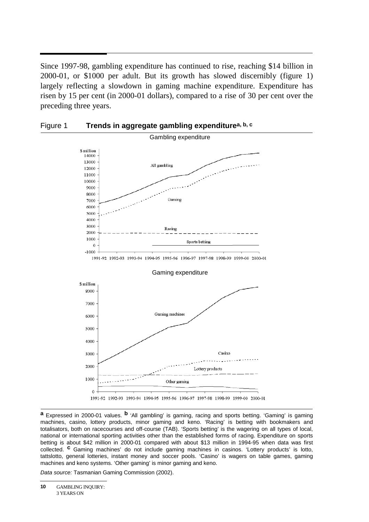Since 1997-98, gambling expenditure has continued to rise, reaching \$14 billion in 2000-01, or \$1000 per adult. But its growth has slowed discernibly (figure 1) largely reflecting a slowdown in gaming machine expenditure. Expenditure has risen by 15 per cent (in 2000-01 dollars), compared to a rise of 30 per cent over the preceding three years.



Figure 1 **Trends in aggregate gambling expenditurea, b, c**

**a** Expressed in 2000-01 values. **b** 'All gambling' is gaming, racing and sports betting. 'Gaming' is gaming machines, casino, lottery products, minor gaming and keno. 'Racing' is betting with bookmakers and totalisators, both on racecourses and off-course (TAB). 'Sports betting' is the wagering on all types of local, national or international sporting activities other than the established forms of racing. Expenditure on sports betting is about \$42 million in 2000-01 compared with about \$13 million in 1994-95 when data was first collected. **c** Gaming machines' do not include gaming machines in casinos. 'Lottery products' is lotto, tattslotto, general lotteries, instant money and soccer pools. 'Casino' is wagers on table games, gaming machines and keno systems. 'Other gaming' is minor gaming and keno.

Data source: Tasmanian Gaming Commission (2002).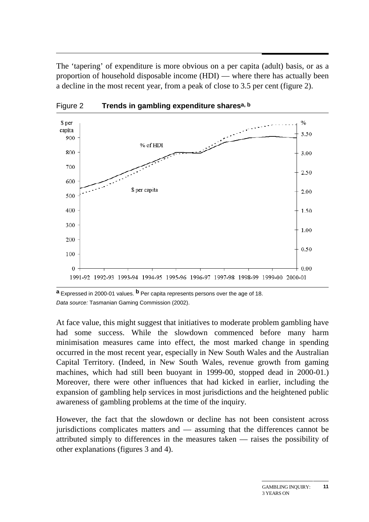The 'tapering' of expenditure is more obvious on a per capita (adult) basis, or as a proportion of household disposable income (HDI) — where there has actually been a decline in the most recent year, from a peak of close to 3.5 per cent (figure 2).



Figure 2 **Trends in gambling expenditure sharesa, b**

**a** Expressed in 2000-01 values. **b** Per capita represents persons over the age of 18. Data source: Tasmanian Gaming Commission (2002).

At face value, this might suggest that initiatives to moderate problem gambling have had some success. While the slowdown commenced before many harm minimisation measures came into effect, the most marked change in spending occurred in the most recent year, especially in New South Wales and the Australian Capital Territory. (Indeed, in New South Wales, revenue growth from gaming machines, which had still been buoyant in 1999-00, stopped dead in 2000-01.) Moreover, there were other influences that had kicked in earlier, including the expansion of gambling help services in most jurisdictions and the heightened public awareness of gambling problems at the time of the inquiry.

However, the fact that the slowdown or decline has not been consistent across jurisdictions complicates matters and — assuming that the differences cannot be attributed simply to differences in the measures taken — raises the possibility of other explanations (figures 3 and 4).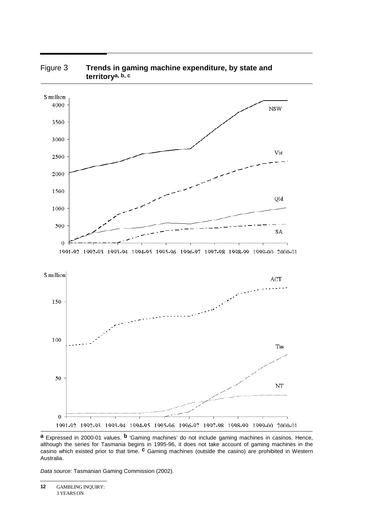

#### Figure 3 **Trends in gaming machine expenditure, by state and territorya, b, c**

**a** Expressed in 2000-01 values. **b** 'Gaming machines' do not include gaming machines in casinos. Hence, although the series for Tasmania begins in 1995-96, it does not take account of gaming machines in the casino which existed prior to that time. **c** Gaming machines (outside the casino) are prohibited in Western Australia.

Data source: Tasmanian Gaming Commission (2002).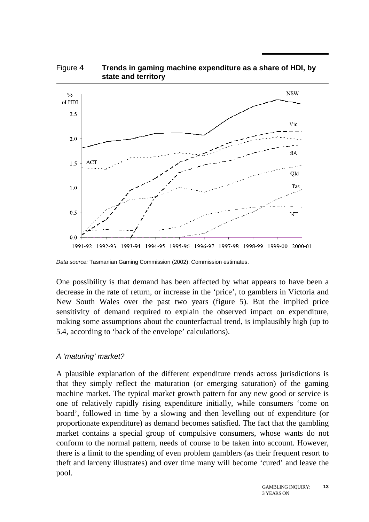

# Figure 4 **Trends in gaming machine expenditure as a share of HDI, by**

Data source: Tasmanian Gaming Commission (2002); Commission estimates.

One possibility is that demand has been affected by what appears to have been a decrease in the rate of return, or increase in the 'price', to gamblers in Victoria and New South Wales over the past two years (figure 5). But the implied price sensitivity of demand required to explain the observed impact on expenditure, making some assumptions about the counterfactual trend, is implausibly high (up to 5.4, according to 'back of the envelope' calculations).

#### A 'maturing' market?

A plausible explanation of the different expenditure trends across jurisdictions is that they simply reflect the maturation (or emerging saturation) of the gaming machine market. The typical market growth pattern for any new good or service is one of relatively rapidly rising expenditure initially, while consumers 'come on board', followed in time by a slowing and then levelling out of expenditure (or proportionate expenditure) as demand becomes satisfied. The fact that the gambling market contains a special group of compulsive consumers, whose wants do not conform to the normal pattern, needs of course to be taken into account. However, there is a limit to the spending of even problem gamblers (as their frequent resort to theft and larceny illustrates) and over time many will become 'cured' and leave the pool.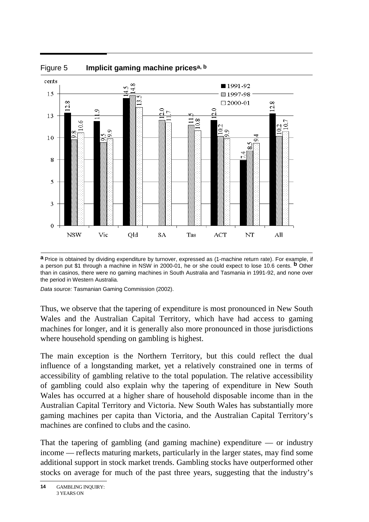

**a** Price is obtained by dividing expenditure by turnover, expressed as (1-machine return rate). For example, if a person put \$1 through a machine in NSW in 2000-01, he or she could expect to lose 10.6 cents. **b** Other than in casinos, there were no gaming machines in South Australia and Tasmania in 1991-92, and none over the period in Western Australia.

Data source: Tasmanian Gaming Commission (2002).

Thus, we observe that the tapering of expenditure is most pronounced in New South Wales and the Australian Capital Territory, which have had access to gaming machines for longer, and it is generally also more pronounced in those jurisdictions where household spending on gambling is highest.

The main exception is the Northern Territory, but this could reflect the dual influence of a longstanding market, yet a relatively constrained one in terms of accessibility of gambling relative to the total population. The relative accessibility of gambling could also explain why the tapering of expenditure in New South Wales has occurred at a higher share of household disposable income than in the Australian Capital Territory and Victoria. New South Wales has substantially more gaming machines per capita than Victoria, and the Australian Capital Territory's machines are confined to clubs and the casino.

That the tapering of gambling (and gaming machine) expenditure  $\sim$  or industry income — reflects maturing markets, particularly in the larger states, may find some additional support in stock market trends. Gambling stocks have outperformed other stocks on average for much of the past three years, suggesting that the industry's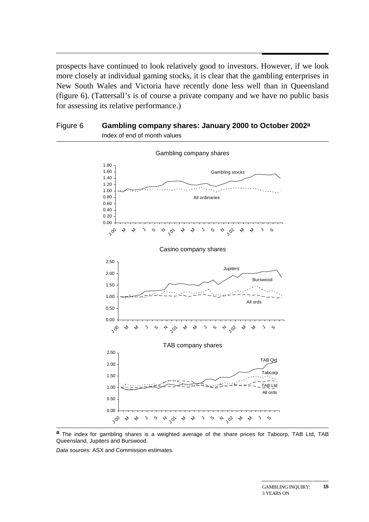prospects have continued to look relatively good to investors. However, if we look more closely at individual gaming stocks, it is clear that the gambling enterprises in New South Wales and Victoria have recently done less well than in Queensland (figure 6). (Tattersall's is of course a private company and we have no public basis for assessing its relative performance.)

#### Figure 6 **Gambling company shares: January 2000 to October 2002a** Index of end of month values



**a** The index for gambling shares is a weighted average of the share prices for Tabcorp, TAB Ltd, TAB Queensland, Jupiters and Burswood.

Data sources: ASX and Commission estimates.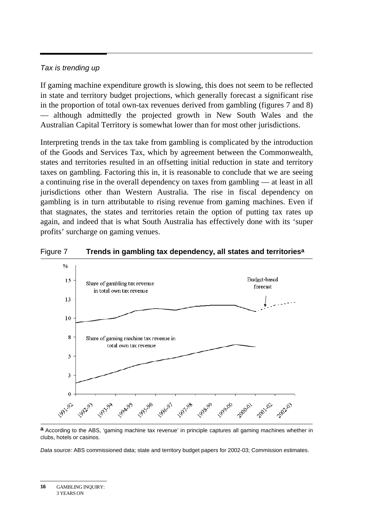#### Tax is trending up

If gaming machine expenditure growth is slowing, this does not seem to be reflected in state and territory budget projections, which generally forecast a significant rise in the proportion of total own-tax revenues derived from gambling (figures 7 and 8) — although admittedly the projected growth in New South Wales and the Australian Capital Territory is somewhat lower than for most other jurisdictions.

Interpreting trends in the tax take from gambling is complicated by the introduction of the Goods and Services Tax, which by agreement between the Commonwealth, states and territories resulted in an offsetting initial reduction in state and territory taxes on gambling. Factoring this in, it is reasonable to conclude that we are seeing a continuing rise in the overall dependency on taxes from gambling — at least in all jurisdictions other than Western Australia. The rise in fiscal dependency on gambling is in turn attributable to rising revenue from gaming machines. Even if that stagnates, the states and territories retain the option of putting tax rates up again, and indeed that is what South Australia has effectively done with its 'super profits' surcharge on gaming venues.





**a** According to the ABS, 'gaming machine tax revenue' in principle captures all gaming machines whether in clubs, hotels or casinos.

Data source: ABS commissioned data; state and territory budget papers for 2002-03; Commission estimates.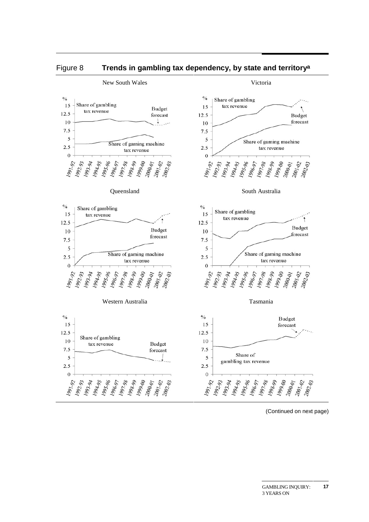

#### Figure 8 **Trends in gambling tax dependency, by state and territorya**

<sup>(</sup>Continued on next page)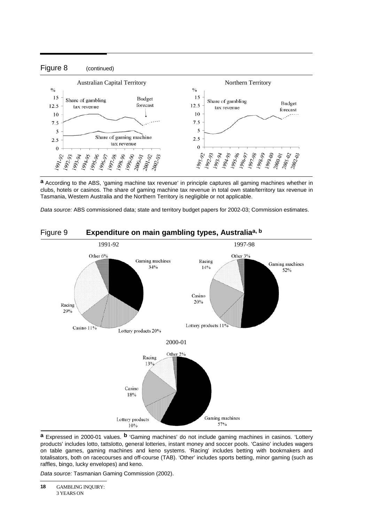

**a** According to the ABS, 'gaming machine tax revenue' in principle captures all gaming machines whether in clubs, hotels or casinos. The share of gaming machine tax revenue in total own state/territory tax revenue in Tasmania, Western Australia and the Northern Territory is negligible or not applicable.

Data source: ABS commissioned data; state and territory budget papers for 2002-03; Commission estimates.



#### Figure 9 **Expenditure on main gambling types, Australiaa, b**

**a** Expressed in 2000-01 values. **b** 'Gaming machines' do not include gaming machines in casinos. 'Lottery products' includes lotto, tattslotto, general lotteries, instant money and soccer pools. 'Casino' includes wagers on table games, gaming machines and keno systems. 'Racing' includes betting with bookmakers and totalisators, both on racecourses and off-course (TAB). 'Other' includes sports betting, minor gaming (such as raffles, bingo, lucky envelopes) and keno.

Data source: Tasmanian Gaming Commission (2002).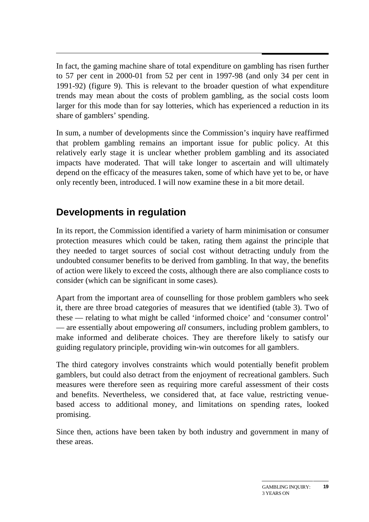In fact, the gaming machine share of total expenditure on gambling has risen further to 57 per cent in 2000-01 from 52 per cent in 1997-98 (and only 34 per cent in 1991-92) (figure 9). This is relevant to the broader question of what expenditure trends may mean about the costs of problem gambling, as the social costs loom larger for this mode than for say lotteries, which has experienced a reduction in its share of gamblers' spending.

In sum, a number of developments since the Commission's inquiry have reaffirmed that problem gambling remains an important issue for public policy. At this relatively early stage it is unclear whether problem gambling and its associated impacts have moderated. That will take longer to ascertain and will ultimately depend on the efficacy of the measures taken, some of which have yet to be, or have only recently been, introduced. I will now examine these in a bit more detail.

### **Developments in regulation**

In its report, the Commission identified a variety of harm minimisation or consumer protection measures which could be taken, rating them against the principle that they needed to target sources of social cost without detracting unduly from the undoubted consumer benefits to be derived from gambling. In that way, the benefits of action were likely to exceed the costs, although there are also compliance costs to consider (which can be significant in some cases).

Apart from the important area of counselling for those problem gamblers who seek it, there are three broad categories of measures that we identified (table 3). Two of these — relating to what might be called 'informed choice' and 'consumer control' — are essentially about empowering *all* consumers, including problem gamblers, to make informed and deliberate choices. They are therefore likely to satisfy our guiding regulatory principle, providing win-win outcomes for all gamblers.

The third category involves constraints which would potentially benefit problem gamblers, but could also detract from the enjoyment of recreational gamblers. Such measures were therefore seen as requiring more careful assessment of their costs and benefits. Nevertheless, we considered that, at face value, restricting venuebased access to additional money, and limitations on spending rates, looked promising.

Since then, actions have been taken by both industry and government in many of these areas.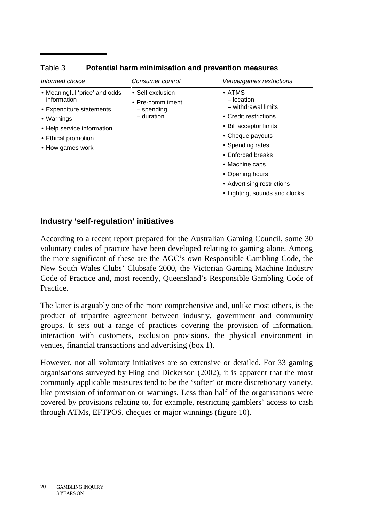| Informed choice                              | Consumer control               | Venue/games restrictions      |
|----------------------------------------------|--------------------------------|-------------------------------|
| • Meaningful 'price' and odds<br>information | • Self exclusion               | $\bullet$ ATMS<br>- location  |
| • Expenditure statements                     | • Pre-commitment<br>– spending | - withdrawal limits           |
| • Warnings                                   | $-$ duration                   | • Credit restrictions         |
| • Help service information                   |                                | • Bill acceptor limits        |
| • Ethical promotion                          |                                | • Cheque payouts              |
| • How games work                             |                                | • Spending rates              |
|                                              |                                | • Enforced breaks             |
|                                              |                                | • Machine caps                |
|                                              |                                | • Opening hours               |
|                                              |                                | • Advertising restrictions    |
|                                              |                                | • Lighting, sounds and clocks |

#### Table 3 **Potential harm minimisation and prevention measures**

#### **Industry 'self-regulation' initiatives**

According to a recent report prepared for the Australian Gaming Council, some 30 voluntary codes of practice have been developed relating to gaming alone. Among the more significant of these are the AGC's own Responsible Gambling Code, the New South Wales Clubs' Clubsafe 2000, the Victorian Gaming Machine Industry Code of Practice and, most recently, Queensland's Responsible Gambling Code of Practice.

The latter is arguably one of the more comprehensive and, unlike most others, is the product of tripartite agreement between industry, government and community groups. It sets out a range of practices covering the provision of information, interaction with customers, exclusion provisions, the physical environment in venues, financial transactions and advertising (box 1).

However, not all voluntary initiatives are so extensive or detailed. For 33 gaming organisations surveyed by Hing and Dickerson (2002), it is apparent that the most commonly applicable measures tend to be the 'softer' or more discretionary variety, like provision of information or warnings. Less than half of the organisations were covered by provisions relating to, for example, restricting gamblers' access to cash through ATMs, EFTPOS, cheques or major winnings (figure 10).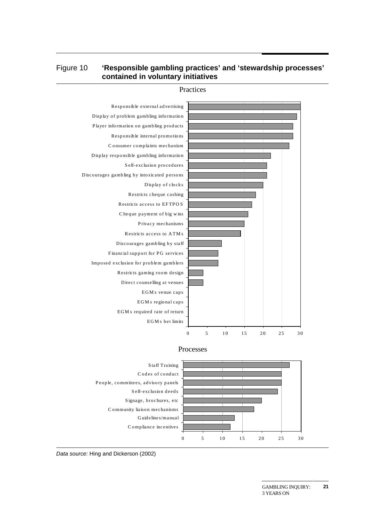#### Figure 10 **'Responsible gambling practices' and 'stewardship processes' contained in voluntary initiatives**



Practices

#### Processes



Data source: Hing and Dickerson (2002)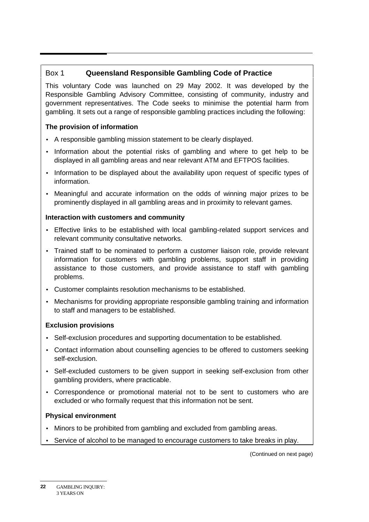#### Box 1 **Queensland Responsible Gambling Code of Practice**

This voluntary Code was launched on 29 May 2002. It was developed by the Responsible Gambling Advisory Committee, consisting of community, industry and government representatives. The Code seeks to minimise the potential harm from gambling. It sets out a range of responsible gambling practices including the following:

#### **The provision of information**

- A responsible gambling mission statement to be clearly displayed.
- Information about the potential risks of gambling and where to get help to be displayed in all gambling areas and near relevant ATM and EFTPOS facilities.
- Information to be displayed about the availability upon request of specific types of information.
- Meaningful and accurate information on the odds of winning major prizes to be prominently displayed in all gambling areas and in proximity to relevant games.

#### **Interaction with customers and community**

- Effective links to be established with local gambling-related support services and relevant community consultative networks.
- Trained staff to be nominated to perform a customer liaison role, provide relevant information for customers with gambling problems, support staff in providing assistance to those customers, and provide assistance to staff with gambling problems.
- Customer complaints resolution mechanisms to be established.
- Mechanisms for providing appropriate responsible gambling training and information to staff and managers to be established.

#### **Exclusion provisions**

- Self-exclusion procedures and supporting documentation to be established.
- Contact information about counselling agencies to be offered to customers seeking self-exclusion.
- Self-excluded customers to be given support in seeking self-exclusion from other gambling providers, where practicable.
- Correspondence or promotional material not to be sent to customers who are excluded or who formally request that this information not be sent.

#### **Physical environment**

- Minors to be prohibited from gambling and excluded from gambling areas.
- Service of alcohol to be managed to encourage customers to take breaks in play.

(Continued on next page)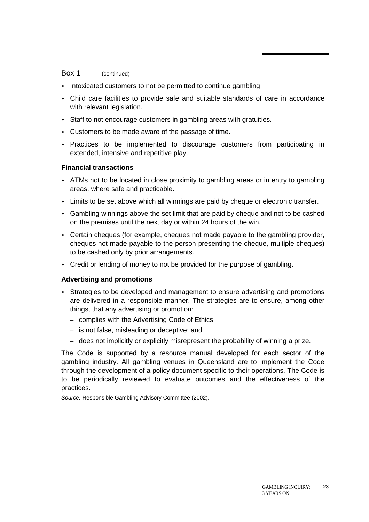#### Box 1 (continued)

- Intoxicated customers to not be permitted to continue gambling.
- Child care facilities to provide safe and suitable standards of care in accordance with relevant legislation.
- Staff to not encourage customers in gambling areas with gratuities.
- Customers to be made aware of the passage of time.
- Practices to be implemented to discourage customers from participating in extended, intensive and repetitive play.

#### **Financial transactions**

- ATMs not to be located in close proximity to gambling areas or in entry to gambling areas, where safe and practicable.
- Limits to be set above which all winnings are paid by cheque or electronic transfer.
- Gambling winnings above the set limit that are paid by cheque and not to be cashed on the premises until the next day or within 24 hours of the win.
- Certain cheques (for example, cheques not made payable to the gambling provider, cheques not made payable to the person presenting the cheque, multiple cheques) to be cashed only by prior arrangements.
- Credit or lending of money to not be provided for the purpose of gambling.

#### **Advertising and promotions**

- Strategies to be developed and management to ensure advertising and promotions are delivered in a responsible manner. The strategies are to ensure, among other things, that any advertising or promotion:
	- complies with the Advertising Code of Ethics;
	- is not false, misleading or deceptive; and
	- does not implicitly or explicitly misrepresent the probability of winning a prize.

The Code is supported by a resource manual developed for each sector of the gambling industry. All gambling venues in Queensland are to implement the Code through the development of a policy document specific to their operations. The Code is to be periodically reviewed to evaluate outcomes and the effectiveness of the practices.

Source: Responsible Gambling Advisory Committee (2002).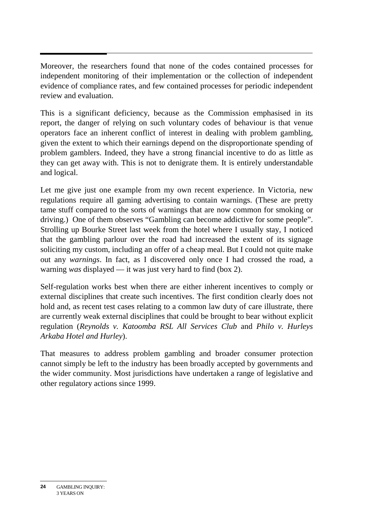Moreover, the researchers found that none of the codes contained processes for independent monitoring of their implementation or the collection of independent evidence of compliance rates, and few contained processes for periodic independent review and evaluation.

This is a significant deficiency, because as the Commission emphasised in its report, the danger of relying on such voluntary codes of behaviour is that venue operators face an inherent conflict of interest in dealing with problem gambling, given the extent to which their earnings depend on the disproportionate spending of problem gamblers. Indeed, they have a strong financial incentive to do as little as they can get away with. This is not to denigrate them. It is entirely understandable and logical.

Let me give just one example from my own recent experience. In Victoria, new regulations require all gaming advertising to contain warnings. (These are pretty tame stuff compared to the sorts of warnings that are now common for smoking or driving.) One of them observes "Gambling can become addictive for some people". Strolling up Bourke Street last week from the hotel where I usually stay, I noticed that the gambling parlour over the road had increased the extent of its signage soliciting my custom, including an offer of a cheap meal. But I could not quite make out any *warnings*. In fact, as I discovered only once I had crossed the road, a warning *was* displayed — it was just very hard to find (box 2).

Self-regulation works best when there are either inherent incentives to comply or external disciplines that create such incentives. The first condition clearly does not hold and, as recent test cases relating to a common law duty of care illustrate, there are currently weak external disciplines that could be brought to bear without explicit regulation (*Reynolds v. Katoomba RSL All Services Club* and *Philo v. Hurleys Arkaba Hotel and Hurley*).

That measures to address problem gambling and broader consumer protection cannot simply be left to the industry has been broadly accepted by governments and the wider community. Most jurisdictions have undertaken a range of legislative and other regulatory actions since 1999.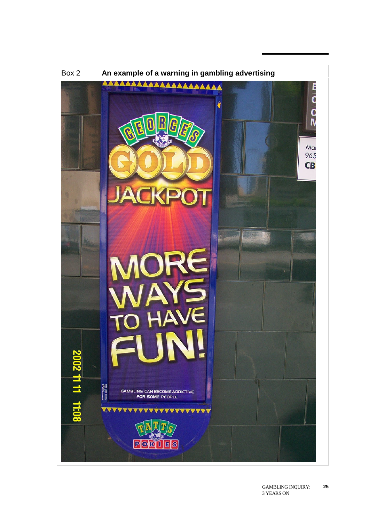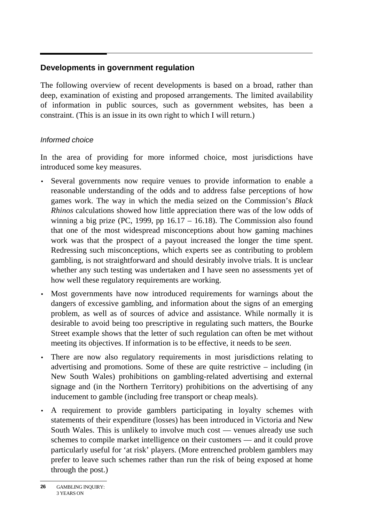#### **Developments in government regulation**

The following overview of recent developments is based on a broad, rather than deep, examination of existing and proposed arrangements. The limited availability of information in public sources, such as government websites, has been a constraint. (This is an issue in its own right to which I will return.)

#### Informed choice

In the area of providing for more informed choice, most jurisdictions have introduced some key measures.

- Several governments now require venues to provide information to enable a reasonable understanding of the odds and to address false perceptions of how games work. The way in which the media seized on the Commission's *Black Rhinos* calculations showed how little appreciation there was of the low odds of winning a big prize (PC, 1999, pp  $16.17 - 16.18$ ). The Commission also found that one of the most widespread misconceptions about how gaming machines work was that the prospect of a payout increased the longer the time spent. Redressing such misconceptions, which experts see as contributing to problem gambling, is not straightforward and should desirably involve trials. It is unclear whether any such testing was undertaken and I have seen no assessments yet of how well these regulatory requirements are working.
- Most governments have now introduced requirements for warnings about the dangers of excessive gambling, and information about the signs of an emerging problem, as well as of sources of advice and assistance. While normally it is desirable to avoid being too prescriptive in regulating such matters, the Bourke Street example shows that the letter of such regulation can often be met without meeting its objectives. If information is to be effective, it needs to be *seen*.
- There are now also regulatory requirements in most jurisdictions relating to advertising and promotions. Some of these are quite restrictive – including (in New South Wales) prohibitions on gambling-related advertising and external signage and (in the Northern Territory) prohibitions on the advertising of any inducement to gamble (including free transport or cheap meals).
- A requirement to provide gamblers participating in loyalty schemes with statements of their expenditure (losses) has been introduced in Victoria and New South Wales. This is unlikely to involve much cost — venues already use such schemes to compile market intelligence on their customers — and it could prove particularly useful for 'at risk' players. (More entrenched problem gamblers may prefer to leave such schemes rather than run the risk of being exposed at home through the post.)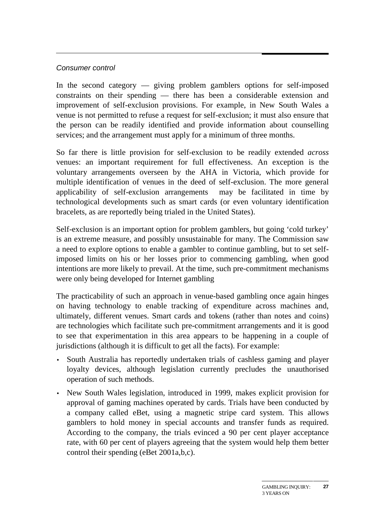#### Consumer control

In the second category — giving problem gamblers options for self-imposed constraints on their spending — there has been a considerable extension and improvement of self-exclusion provisions. For example, in New South Wales a venue is not permitted to refuse a request for self-exclusion; it must also ensure that the person can be readily identified and provide information about counselling services; and the arrangement must apply for a minimum of three months.

So far there is little provision for self-exclusion to be readily extended *across* venues: an important requirement for full effectiveness. An exception is the voluntary arrangements overseen by the AHA in Victoria, which provide for multiple identification of venues in the deed of self-exclusion. The more general applicability of self-exclusion arrangements may be facilitated in time by technological developments such as smart cards (or even voluntary identification bracelets, as are reportedly being trialed in the United States).

Self-exclusion is an important option for problem gamblers, but going 'cold turkey' is an extreme measure, and possibly unsustainable for many. The Commission saw a need to explore options to enable a gambler to continue gambling, but to set selfimposed limits on his or her losses prior to commencing gambling, when good intentions are more likely to prevail. At the time, such pre-commitment mechanisms were only being developed for Internet gambling

The practicability of such an approach in venue-based gambling once again hinges on having technology to enable tracking of expenditure across machines and, ultimately, different venues. Smart cards and tokens (rather than notes and coins) are technologies which facilitate such pre-commitment arrangements and it is good to see that experimentation in this area appears to be happening in a couple of jurisdictions (although it is difficult to get all the facts). For example:

- South Australia has reportedly undertaken trials of cashless gaming and player loyalty devices, although legislation currently precludes the unauthorised operation of such methods.
- New South Wales legislation, introduced in 1999, makes explicit provision for approval of gaming machines operated by cards. Trials have been conducted by a company called eBet, using a magnetic stripe card system. This allows gamblers to hold money in special accounts and transfer funds as required. According to the company, the trials evinced a 90 per cent player acceptance rate, with 60 per cent of players agreeing that the system would help them better control their spending (eBet 2001a,b,c).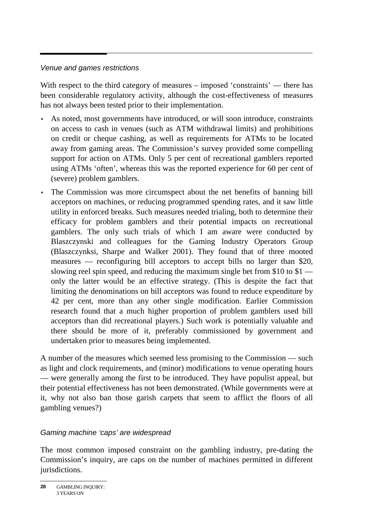#### Venue and games restrictions

With respect to the third category of measures – imposed 'constraints' — there has been considerable regulatory activity, although the cost-effectiveness of measures has not always been tested prior to their implementation.

- As noted, most governments have introduced, or will soon introduce, constraints on access to cash in venues (such as ATM withdrawal limits) and prohibitions on credit or cheque cashing, as well as requirements for ATMs to be located away from gaming areas. The Commission's survey provided some compelling support for action on ATMs. Only 5 per cent of recreational gamblers reported using ATMs 'often', whereas this was the reported experience for 60 per cent of (severe) problem gamblers.
- The Commission was more circumspect about the net benefits of banning bill acceptors on machines, or reducing programmed spending rates, and it saw little utility in enforced breaks. Such measures needed trialing, both to determine their efficacy for problem gamblers and their potential impacts on recreational gamblers. The only such trials of which I am aware were conducted by Blaszczynski and colleagues for the Gaming Industry Operators Group (Blaszczynksi, Sharpe and Walker 2001). They found that of three mooted measures — reconfiguring bill acceptors to accept bills no larger than \$20, slowing reel spin speed, and reducing the maximum single bet from \$10 to  $$1$ only the latter would be an effective strategy. (This is despite the fact that limiting the denominations on bill acceptors was found to reduce expenditure by 42 per cent, more than any other single modification. Earlier Commission research found that a much higher proportion of problem gamblers used bill acceptors than did recreational players.) Such work is potentially valuable and there should be more of it, preferably commissioned by government and undertaken prior to measures being implemented.

A number of the measures which seemed less promising to the Commission — such as light and clock requirements, and (minor) modifications to venue operating hours — were generally among the first to be introduced. They have populist appeal, but their potential effectiveness has not been demonstrated. (While governments were at it, why not also ban those garish carpets that seem to afflict the floors of all gambling venues?)

#### Gaming machine 'caps' are widespread

The most common imposed constraint on the gambling industry, pre-dating the Commission's inquiry, are caps on the number of machines permitted in different jurisdictions.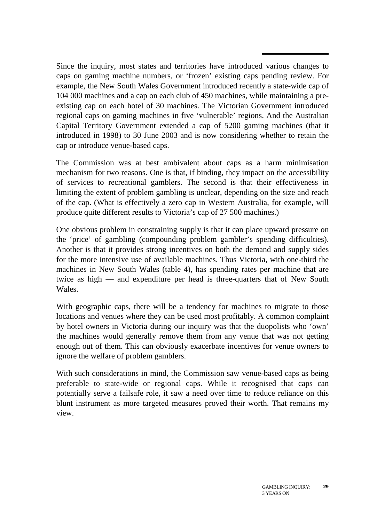Since the inquiry, most states and territories have introduced various changes to caps on gaming machine numbers, or 'frozen' existing caps pending review. For example, the New South Wales Government introduced recently a state-wide cap of 104 000 machines and a cap on each club of 450 machines, while maintaining a preexisting cap on each hotel of 30 machines. The Victorian Government introduced regional caps on gaming machines in five 'vulnerable' regions. And the Australian Capital Territory Government extended a cap of 5200 gaming machines (that it introduced in 1998) to 30 June 2003 and is now considering whether to retain the cap or introduce venue-based caps.

The Commission was at best ambivalent about caps as a harm minimisation mechanism for two reasons. One is that, if binding, they impact on the accessibility of services to recreational gamblers. The second is that their effectiveness in limiting the extent of problem gambling is unclear, depending on the size and reach of the cap. (What is effectively a zero cap in Western Australia, for example, will produce quite different results to Victoria's cap of 27 500 machines.)

One obvious problem in constraining supply is that it can place upward pressure on the 'price' of gambling (compounding problem gambler's spending difficulties). Another is that it provides strong incentives on both the demand and supply sides for the more intensive use of available machines. Thus Victoria, with one-third the machines in New South Wales (table 4), has spending rates per machine that are twice as high — and expenditure per head is three-quarters that of New South Wales.

With geographic caps, there will be a tendency for machines to migrate to those locations and venues where they can be used most profitably. A common complaint by hotel owners in Victoria during our inquiry was that the duopolists who 'own' the machines would generally remove them from any venue that was not getting enough out of them. This can obviously exacerbate incentives for venue owners to ignore the welfare of problem gamblers.

With such considerations in mind, the Commission saw venue-based caps as being preferable to state-wide or regional caps. While it recognised that caps can potentially serve a failsafe role, it saw a need over time to reduce reliance on this blunt instrument as more targeted measures proved their worth. That remains my view.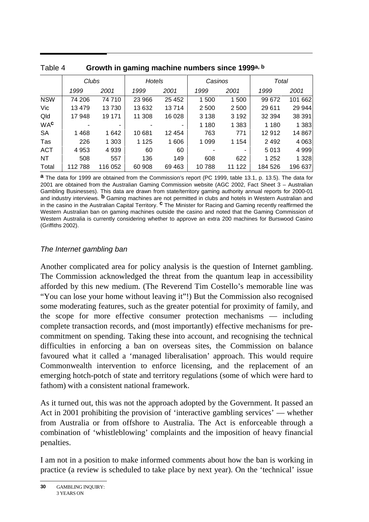|            |         |                        | ັ<br>ັ  |         |         |         |         |         |
|------------|---------|------------------------|---------|---------|---------|---------|---------|---------|
|            |         | Clubs<br><b>Hotels</b> |         | Casinos |         | Total   |         |         |
|            | 1999    | 2001                   | 1999    | 2001    | 1999    | 2001    | 1999    | 2001    |
| <b>NSW</b> | 74 206  | 74710                  | 23 966  | 25 452  | 1500    | 1500    | 99 672  | 101 662 |
| Vic        | 13 4 79 | 13730                  | 13 632  | 13714   | 2 500   | 2 500   | 29 611  | 29 944  |
| Qld        | 17948   | 19 171                 | 11 308  | 16 0 28 | 3 1 3 8 | 3 1 9 2 | 32 394  | 38 391  |
| <b>WAC</b> |         | -                      |         |         | 1 1 8 0 | 1 383   | 1 1 8 0 | 1 3 8 3 |
| <b>SA</b>  | 1468    | 1642                   | 10681   | 12 4 54 | 763     | 771     | 12912   | 14 867  |
| Tas        | 226     | 1 3 0 3                | 1 1 2 5 | 1 606   | 1 0 9 9 | 1 1 5 4 | 2 4 9 2 | 4 0 63  |
| <b>ACT</b> | 4 9 5 3 | 4939                   | 60      | 60      |         | ۰       | 5013    | 4 9 9 9 |
| NT.        | 508     | 557                    | 136     | 149     | 608     | 622     | 1 2 5 2 | 1 3 2 8 |
| Total      | 112788  | 116 052                | 60 908  | 69 4 63 | 10788   | 11 122  | 184 526 | 196 637 |

| Table 4 | Growth in gaming machine numbers since 1999a, b |  |  |  |
|---------|-------------------------------------------------|--|--|--|
|         |                                                 |  |  |  |

**a** The data for 1999 are obtained from the Commission's report (PC 1999, table 13.1, p. 13.5). The data for 2001 are obtained from the Australian Gaming Commission website (AGC 2002, Fact Sheet 3 – Australian Gambling Businesses). This data are drawn from state/territory gaming authority annual reports for 2000-01 and industry interviews. **b** Gaming machines are not permitted in clubs and hotels in Western Australian and in the casino in the Australian Capital Territory. **c** The Minister for Racing and Gaming recently reaffirmed the Western Australian ban on gaming machines outside the casino and noted that the Gaming Commission of Western Australia is currently considering whether to approve an extra 200 machines for Burswood Casino (Griffiths 2002).

#### The Internet gambling ban

Another complicated area for policy analysis is the question of Internet gambling. The Commission acknowledged the threat from the quantum leap in accessibility afforded by this new medium. (The Reverend Tim Costello's memorable line was "You can lose your home without leaving it"!) But the Commission also recognised some moderating features, such as the greater potential for proximity of family, and the scope for more effective consumer protection mechanisms — including complete transaction records, and (most importantly) effective mechanisms for precommitment on spending. Taking these into account, and recognising the technical difficulties in enforcing a ban on overseas sites, the Commission on balance favoured what it called a 'managed liberalisation' approach. This would require Commonwealth intervention to enforce licensing, and the replacement of an emerging hotch-potch of state and territory regulations (some of which were hard to fathom) with a consistent national framework.

As it turned out, this was not the approach adopted by the Government. It passed an Act in 2001 prohibiting the provision of 'interactive gambling services' — whether from Australia or from offshore to Australia. The Act is enforceable through a combination of 'whistleblowing' complaints and the imposition of heavy financial penalties.

I am not in a position to make informed comments about how the ban is working in practice (a review is scheduled to take place by next year). On the 'technical' issue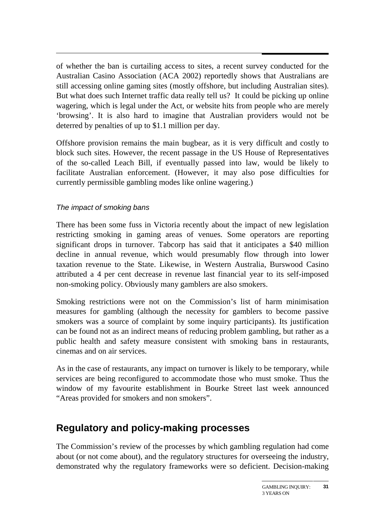of whether the ban is curtailing access to sites, a recent survey conducted for the Australian Casino Association (ACA 2002) reportedly shows that Australians are still accessing online gaming sites (mostly offshore, but including Australian sites). But what does such Internet traffic data really tell us? It could be picking up online wagering, which is legal under the Act, or website hits from people who are merely 'browsing'. It is also hard to imagine that Australian providers would not be deterred by penalties of up to \$1.1 million per day.

Offshore provision remains the main bugbear, as it is very difficult and costly to block such sites. However, the recent passage in the US House of Representatives of the so-called Leach Bill, if eventually passed into law, would be likely to facilitate Australian enforcement. (However, it may also pose difficulties for currently permissible gambling modes like online wagering.)

#### The impact of smoking bans

There has been some fuss in Victoria recently about the impact of new legislation restricting smoking in gaming areas of venues. Some operators are reporting significant drops in turnover. Tabcorp has said that it anticipates a \$40 million decline in annual revenue, which would presumably flow through into lower taxation revenue to the State. Likewise, in Western Australia, Burswood Casino attributed a 4 per cent decrease in revenue last financial year to its self-imposed non-smoking policy. Obviously many gamblers are also smokers.

Smoking restrictions were not on the Commission's list of harm minimisation measures for gambling (although the necessity for gamblers to become passive smokers was a source of complaint by some inquiry participants). Its justification can be found not as an indirect means of reducing problem gambling, but rather as a public health and safety measure consistent with smoking bans in restaurants, cinemas and on air services.

As in the case of restaurants, any impact on turnover is likely to be temporary, while services are being reconfigured to accommodate those who must smoke. Thus the window of my favourite establishment in Bourke Street last week announced "Areas provided for smokers and non smokers".

### **Regulatory and policy-making processes**

The Commission's review of the processes by which gambling regulation had come about (or not come about), and the regulatory structures for overseeing the industry, demonstrated why the regulatory frameworks were so deficient. Decision-making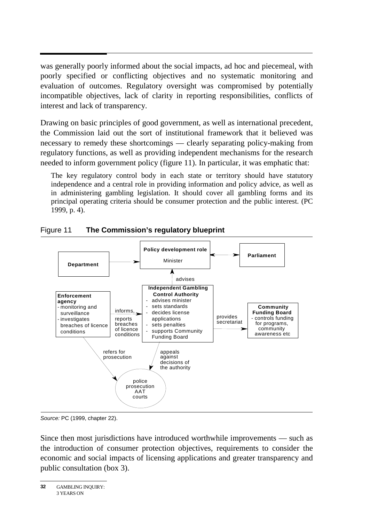was generally poorly informed about the social impacts, ad hoc and piecemeal, with poorly specified or conflicting objectives and no systematic monitoring and evaluation of outcomes. Regulatory oversight was compromised by potentially incompatible objectives, lack of clarity in reporting responsibilities, conflicts of interest and lack of transparency.

Drawing on basic principles of good government, as well as international precedent, the Commission laid out the sort of institutional framework that it believed was necessary to remedy these shortcomings — clearly separating policy-making from regulatory functions, as well as providing independent mechanisms for the research needed to inform government policy (figure 11). In particular, it was emphatic that:

The key regulatory control body in each state or territory should have statutory independence and a central role in providing information and policy advice, as well as in administering gambling legislation. It should cover all gambling forms and its principal operating criteria should be consumer protection and the public interest. (PC 1999, p. 4).



#### Figure 11 **The Commission's regulatory blueprint**

Source: PC (1999, chapter 22).

Since then most jurisdictions have introduced worthwhile improvements — such as the introduction of consumer protection objectives, requirements to consider the economic and social impacts of licensing applications and greater transparency and public consultation (box 3).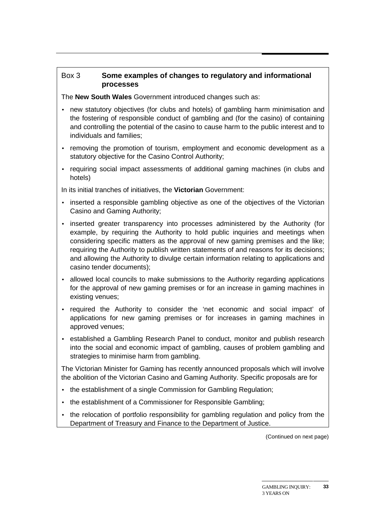#### Box 3 **Some examples of changes to regulatory and informational processes**

The **New South Wales** Government introduced changes such as:

- new statutory objectives (for clubs and hotels) of gambling harm minimisation and the fostering of responsible conduct of gambling and (for the casino) of containing and controlling the potential of the casino to cause harm to the public interest and to individuals and families;
- removing the promotion of tourism, employment and economic development as a statutory objective for the Casino Control Authority;
- requiring social impact assessments of additional gaming machines (in clubs and hotels)

In its initial tranches of initiatives, the **Victorian** Government:

- inserted a responsible gambling objective as one of the objectives of the Victorian Casino and Gaming Authority;
- inserted greater transparency into processes administered by the Authority (for example, by requiring the Authority to hold public inquiries and meetings when considering specific matters as the approval of new gaming premises and the like; requiring the Authority to publish written statements of and reasons for its decisions; and allowing the Authority to divulge certain information relating to applications and casino tender documents);
- allowed local councils to make submissions to the Authority regarding applications for the approval of new gaming premises or for an increase in gaming machines in existing venues;
- required the Authority to consider the 'net economic and social impact' of applications for new gaming premises or for increases in gaming machines in approved venues;
- established a Gambling Research Panel to conduct, monitor and publish research into the social and economic impact of gambling, causes of problem gambling and strategies to minimise harm from gambling.

The Victorian Minister for Gaming has recently announced proposals which will involve the abolition of the Victorian Casino and Gaming Authority. Specific proposals are for

- the establishment of a single Commission for Gambling Regulation;
- the establishment of a Commissioner for Responsible Gambling;
- the relocation of portfolio responsibility for gambling regulation and policy from the Department of Treasury and Finance to the Department of Justice.

(Continued on next page)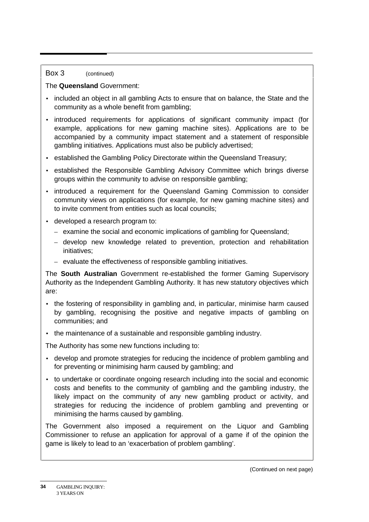#### Box 3 (continued)

#### The **Queensland** Government:

- included an object in all gambling Acts to ensure that on balance, the State and the community as a whole benefit from gambling;
- introduced requirements for applications of significant community impact (for example, applications for new gaming machine sites). Applications are to be accompanied by a community impact statement and a statement of responsible gambling initiatives. Applications must also be publicly advertised;
- established the Gambling Policy Directorate within the Queensland Treasury;
- established the Responsible Gambling Advisory Committee which brings diverse groups within the community to advise on responsible gambling;
- introduced a requirement for the Queensland Gaming Commission to consider community views on applications (for example, for new gaming machine sites) and to invite comment from entities such as local councils;
- developed a research program to:
	- examine the social and economic implications of gambling for Queensland;
	- develop new knowledge related to prevention, protection and rehabilitation initiatives;
	- evaluate the effectiveness of responsible gambling initiatives.

The **South Australian** Government re-established the former Gaming Supervisory Authority as the Independent Gambling Authority. It has new statutory objectives which are:

- the fostering of responsibility in gambling and, in particular, minimise harm caused by gambling, recognising the positive and negative impacts of gambling on communities; and
- the maintenance of a sustainable and responsible gambling industry.

The Authority has some new functions including to:

- develop and promote strategies for reducing the incidence of problem gambling and for preventing or minimising harm caused by gambling; and
- to undertake or coordinate ongoing research including into the social and economic costs and benefits to the community of gambling and the gambling industry, the likely impact on the community of any new gambling product or activity, and strategies for reducing the incidence of problem gambling and preventing or minimising the harms caused by gambling.

The Government also imposed a requirement on the Liquor and Gambling Commissioner to refuse an application for approval of a game if of the opinion the game is likely to lead to an 'exacerbation of problem gambling'.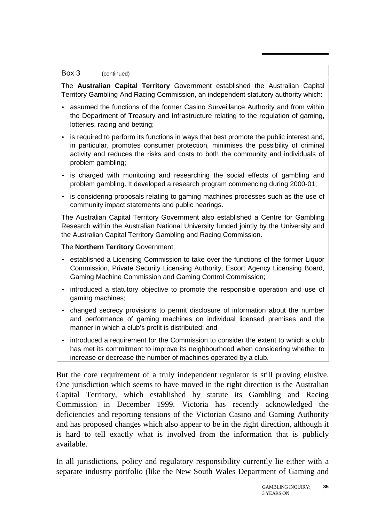#### Box 3 (continued)

The **Australian Capital Territory** Government established the Australian Capital Territory Gambling And Racing Commission, an independent statutory authority which:

- assumed the functions of the former Casino Surveillance Authority and from within the Department of Treasury and Infrastructure relating to the regulation of gaming, lotteries, racing and betting;
- is required to perform its functions in ways that best promote the public interest and, in particular, promotes consumer protection, minimises the possibility of criminal activity and reduces the risks and costs to both the community and individuals of problem gambling;
- is charged with monitoring and researching the social effects of gambling and problem gambling. It developed a research program commencing during 2000-01;
- is considering proposals relating to gaming machines processes such as the use of community impact statements and public hearings.

The Australian Capital Territory Government also established a Centre for Gambling Research within the Australian National University funded jointly by the University and the Australian Capital Territory Gambling and Racing Commission.

The **Northern Territory** Government:

- established a Licensing Commission to take over the functions of the former Liquor Commission, Private Security Licensing Authority, Escort Agency Licensing Board, Gaming Machine Commission and Gaming Control Commission;
- introduced a statutory objective to promote the responsible operation and use of gaming machines;
- changed secrecy provisions to permit disclosure of information about the number and performance of gaming machines on individual licensed premises and the manner in which a club's profit is distributed; and
- introduced a requirement for the Commission to consider the extent to which a club has met its commitment to improve its neighbourhood when considering whether to increase or decrease the number of machines operated by a club.

But the core requirement of a truly independent regulator is still proving elusive. One jurisdiction which seems to have moved in the right direction is the Australian Capital Territory, which established by statute its Gambling and Racing Commission in December 1999. Victoria has recently acknowledged the deficiencies and reporting tensions of the Victorian Casino and Gaming Authority and has proposed changes which also appear to be in the right direction, although it is hard to tell exactly what is involved from the information that is publicly available.

In all jurisdictions, policy and regulatory responsibility currently lie either with a separate industry portfolio (like the New South Wales Department of Gaming and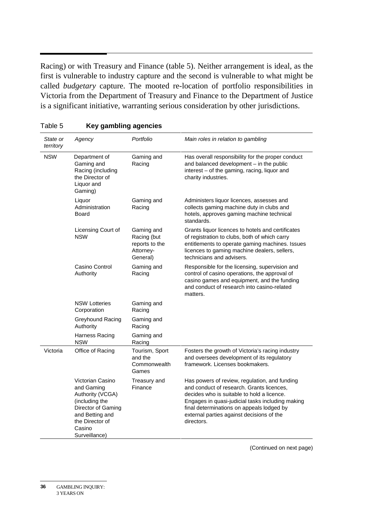Racing) or with Treasury and Finance (table 5). Neither arrangement is ideal, as the first is vulnerable to industry capture and the second is vulnerable to what might be called *budgetary* capture. The mooted re-location of portfolio responsibilities in Victoria from the Department of Treasury and Finance to the Department of Justice is a significant initiative, warranting serious consideration by other jurisdictions.

| State or<br>territory | Agency                                                                                                                                                      | Portfolio                                                            | Main roles in relation to gambling                                                                                                                                                                                                                                                                   |
|-----------------------|-------------------------------------------------------------------------------------------------------------------------------------------------------------|----------------------------------------------------------------------|------------------------------------------------------------------------------------------------------------------------------------------------------------------------------------------------------------------------------------------------------------------------------------------------------|
| <b>NSW</b>            | Department of<br>Gaming and<br>Racing (including<br>the Director of<br>Liquor and<br>Gaming)                                                                | Gaming and<br>Racing                                                 | Has overall responsibility for the proper conduct<br>and balanced development - in the public<br>interest - of the gaming, racing, liquor and<br>charity industries.                                                                                                                                 |
|                       | Liquor<br>Administration<br>Board                                                                                                                           | Gaming and<br>Racing                                                 | Administers liquor licences, assesses and<br>collects gaming machine duty in clubs and<br>hotels, approves gaming machine technical<br>standards.                                                                                                                                                    |
|                       | Licensing Court of<br><b>NSW</b>                                                                                                                            | Gaming and<br>Racing (but<br>reports to the<br>Attorney-<br>General) | Grants liquor licences to hotels and certificates<br>of registration to clubs, both of which carry<br>entitlements to operate gaming machines. Issues<br>licences to gaming machine dealers, sellers,<br>technicians and advisers.                                                                   |
|                       | Casino Control<br>Authority                                                                                                                                 | Gaming and<br>Racing                                                 | Responsible for the licensing, supervision and<br>control of casino operations, the approval of<br>casino games and equipment, and the funding<br>and conduct of research into casino-related<br>matters.                                                                                            |
|                       | <b>NSW Lotteries</b><br>Corporation                                                                                                                         | Gaming and<br>Racing                                                 |                                                                                                                                                                                                                                                                                                      |
|                       | Greyhound Racing<br>Authority                                                                                                                               | Gaming and<br>Racing                                                 |                                                                                                                                                                                                                                                                                                      |
|                       | Harness Racing<br><b>NSW</b>                                                                                                                                | Gaming and<br>Racing                                                 |                                                                                                                                                                                                                                                                                                      |
| Victoria              | Office of Racing                                                                                                                                            | Tourism, Sport<br>and the<br>Commonwealth<br>Games                   | Fosters the growth of Victoria's racing industry<br>and oversees development of its regulatory<br>framework. Licenses bookmakers.                                                                                                                                                                    |
|                       | Victorian Casino<br>and Gaming<br>Authority (VCGA)<br>(including the<br>Director of Gaming<br>and Betting and<br>the Director of<br>Casino<br>Surveillance) | Treasury and<br>Finance                                              | Has powers of review, regulation, and funding<br>and conduct of research. Grants licences,<br>decides who is suitable to hold a licence.<br>Engages in quasi-judicial tasks including making<br>final determinations on appeals lodged by<br>external parties against decisions of the<br>directors. |

#### Table 5 **Key gambling agencies**

(Continued on next page)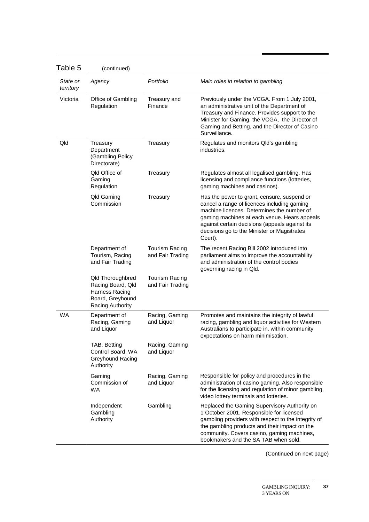| l able 5              | (continued)                                                                                     |                                           |                                                                                                                                                                                                                                                                                                      |
|-----------------------|-------------------------------------------------------------------------------------------------|-------------------------------------------|------------------------------------------------------------------------------------------------------------------------------------------------------------------------------------------------------------------------------------------------------------------------------------------------------|
| State or<br>territory | Agency                                                                                          | Portfolio                                 | Main roles in relation to gambling                                                                                                                                                                                                                                                                   |
| Victoria              | Office of Gambling<br>Regulation                                                                | Treasury and<br>Finance                   | Previously under the VCGA. From 1 July 2001,<br>an administrative unit of the Department of<br>Treasury and Finance. Provides support to the<br>Minister for Gaming, the VCGA, the Director of<br>Gaming and Betting, and the Director of Casino<br>Surveillance.                                    |
| Qld                   | Treasury<br>Department<br>(Gambling Policy<br>Directorate)                                      | Treasury                                  | Regulates and monitors Qld's gambling<br>industries.                                                                                                                                                                                                                                                 |
|                       | <b>Qld Office of</b><br>Gaming<br>Regulation                                                    | Treasury                                  | Regulates almost all legalised gambling. Has<br>licensing and compliance functions (lotteries,<br>gaming machines and casinos).                                                                                                                                                                      |
|                       | Qld Gaming<br>Commission                                                                        | Treasury                                  | Has the power to grant, censure, suspend or<br>cancel a range of licences including gaming<br>machine licences. Determines the number of<br>gaming machines at each venue. Hears appeals<br>against certain decisions (appeals against its<br>decisions go to the Minister or Magistrates<br>Court). |
|                       | Department of<br>Tourism, Racing<br>and Fair Trading                                            | <b>Tourism Racing</b><br>and Fair Trading | The recent Racing Bill 2002 introduced into<br>parliament aims to improve the accountability<br>and administration of the control bodies<br>governing racing in Qld.                                                                                                                                 |
|                       | Qld Thoroughbred<br>Racing Board, Qld<br>Harness Racing<br>Board, Greyhound<br>Racing Authority | <b>Tourism Racing</b><br>and Fair Trading |                                                                                                                                                                                                                                                                                                      |
| <b>WA</b>             | Department of<br>Racing, Gaming<br>and Liquor                                                   | Racing, Gaming<br>and Liquor              | Promotes and maintains the integrity of lawful<br>racing, gambling and liquor activities for Western<br>Australians to participate in, within community<br>expectations on harm minimisation.                                                                                                        |
|                       | TAB, Betting<br>Control Board, WA<br>Greyhound Racing<br>Authority                              | Racing, Gaming<br>and Liquor              |                                                                                                                                                                                                                                                                                                      |
|                       | Gaming<br>Commission of<br>WA.                                                                  | Racing, Gaming<br>and Liquor              | Responsible for policy and procedures in the<br>administration of casino gaming. Also responsible<br>for the licensing and regulation of minor gambling,<br>video lottery terminals and lotteries.                                                                                                   |
|                       | Independent<br>Gambling<br>Authority                                                            | Gambling                                  | Replaced the Gaming Supervisory Authority on<br>1 October 2001. Responsible for licensed<br>gambling providers with respect to the integrity of<br>the gambling products and their impact on the<br>community. Covers casino, gaming machines,<br>bookmakers and the SA TAB when sold.               |

 $T$ able  $F$ 

(Continued on next page)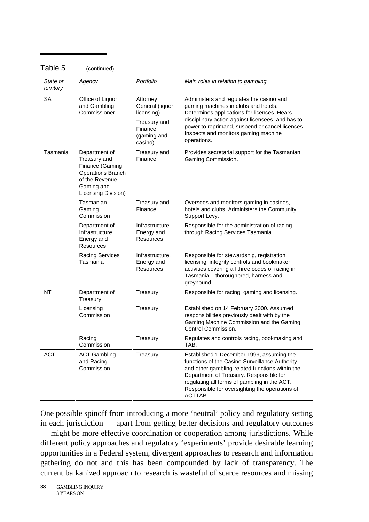| Table 5               | (continued)                                                                                                                          |                                                                                                |                                                                                                                                                                                                                                                                                                        |
|-----------------------|--------------------------------------------------------------------------------------------------------------------------------------|------------------------------------------------------------------------------------------------|--------------------------------------------------------------------------------------------------------------------------------------------------------------------------------------------------------------------------------------------------------------------------------------------------------|
| State or<br>territory | Agency                                                                                                                               | Portfolio                                                                                      | Main roles in relation to gambling                                                                                                                                                                                                                                                                     |
| SА                    | Office of Liquor<br>and Gambling<br>Commissioner                                                                                     | Attorney<br>General (liquor<br>licensing)<br>Treasury and<br>Finance<br>(gaming and<br>casino) | Administers and regulates the casino and<br>gaming machines in clubs and hotels.<br>Determines applications for licences. Hears<br>disciplinary action against licensees, and has to<br>power to reprimand, suspend or cancel licences.<br>Inspects and monitors gaming machine<br>operations.         |
| Tasmania              | Department of<br>Treasury and<br>Finance (Gaming<br><b>Operations Branch</b><br>of the Revenue,<br>Gaming and<br>Licensing Division) | Treasury and<br>Finance                                                                        | Provides secretarial support for the Tasmanian<br>Gaming Commission.                                                                                                                                                                                                                                   |
|                       | Tasmanian<br>Gaming<br>Commission                                                                                                    | Treasury and<br>Finance                                                                        | Oversees and monitors gaming in casinos,<br>hotels and clubs. Administers the Community<br>Support Levy.                                                                                                                                                                                               |
|                       | Department of<br>Infrastructure,<br>Energy and<br>Resources                                                                          | Infrastructure,<br>Energy and<br>Resources                                                     | Responsible for the administration of racing<br>through Racing Services Tasmania.                                                                                                                                                                                                                      |
|                       | <b>Racing Services</b><br>Tasmania                                                                                                   | Infrastructure,<br>Energy and<br><b>Resources</b>                                              | Responsible for stewardship, registration,<br>licensing, integrity controls and bookmaker<br>activities covering all three codes of racing in<br>Tasmania - thoroughbred, harness and<br>greyhound.                                                                                                    |
| <b>NT</b>             | Department of<br>Treasury                                                                                                            | Treasury                                                                                       | Responsible for racing, gaming and licensing.                                                                                                                                                                                                                                                          |
|                       | Licensing<br>Commission                                                                                                              | Treasury                                                                                       | Established on 14 February 2000. Assumed<br>responsibilities previously dealt with by the<br>Gaming Machine Commission and the Gaming<br>Control Commission.                                                                                                                                           |
|                       | Racing<br>Commission                                                                                                                 | Treasury                                                                                       | Regulates and controls racing, bookmaking and<br>TAB.                                                                                                                                                                                                                                                  |
| <b>ACT</b>            | <b>ACT Gambling</b><br>and Racing<br>Commission                                                                                      | Treasury                                                                                       | Established 1 December 1999, assuming the<br>functions of the Casino Surveillance Authority<br>and other gambling-related functions within the<br>Department of Treasury. Responsible for<br>regulating all forms of gambling in the ACT.<br>Responsible for oversighting the operations of<br>ACTTAB. |

One possible spinoff from introducing a more 'neutral' policy and regulatory setting in each jurisdiction — apart from getting better decisions and regulatory outcomes — might be more effective coordination or cooperation among jurisdictions. While different policy approaches and regulatory 'experiments' provide desirable learning opportunities in a Federal system, divergent approaches to research and information gathering do not and this has been compounded by lack of transparency. The current balkanized approach to research is wasteful of scarce resources and missing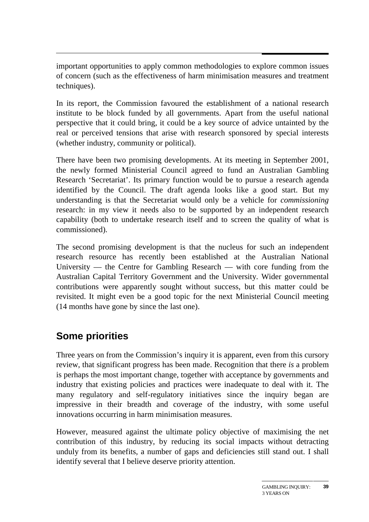important opportunities to apply common methodologies to explore common issues of concern (such as the effectiveness of harm minimisation measures and treatment techniques).

In its report, the Commission favoured the establishment of a national research institute to be block funded by all governments. Apart from the useful national perspective that it could bring, it could be a key source of advice untainted by the real or perceived tensions that arise with research sponsored by special interests (whether industry, community or political).

There have been two promising developments. At its meeting in September 2001, the newly formed Ministerial Council agreed to fund an Australian Gambling Research 'Secretariat'. Its primary function would be to pursue a research agenda identified by the Council. The draft agenda looks like a good start. But my understanding is that the Secretariat would only be a vehicle for *commissioning* research: in my view it needs also to be supported by an independent research capability (both to undertake research itself and to screen the quality of what is commissioned).

The second promising development is that the nucleus for such an independent research resource has recently been established at the Australian National University — the Centre for Gambling Research — with core funding from the Australian Capital Territory Government and the University. Wider governmental contributions were apparently sought without success, but this matter could be revisited. It might even be a good topic for the next Ministerial Council meeting (14 months have gone by since the last one).

## **Some priorities**

Three years on from the Commission's inquiry it is apparent, even from this cursory review, that significant progress has been made. Recognition that there *is* a problem is perhaps the most important change, together with acceptance by governments and industry that existing policies and practices were inadequate to deal with it. The many regulatory and self-regulatory initiatives since the inquiry began are impressive in their breadth and coverage of the industry, with some useful innovations occurring in harm minimisation measures.

However, measured against the ultimate policy objective of maximising the net contribution of this industry, by reducing its social impacts without detracting unduly from its benefits, a number of gaps and deficiencies still stand out. I shall identify several that I believe deserve priority attention.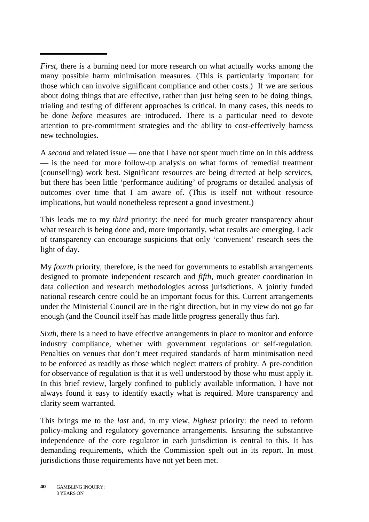*First*, there is a burning need for more research on what actually works among the many possible harm minimisation measures. (This is particularly important for those which can involve significant compliance and other costs.) If we are serious about doing things that are effective, rather than just being seen to be doing things, trialing and testing of different approaches is critical. In many cases, this needs to be done *before* measures are introduced. There is a particular need to devote attention to pre-commitment strategies and the ability to cost-effectively harness new technologies.

A *second* and related issue — one that I have not spent much time on in this address — is the need for more follow-up analysis on what forms of remedial treatment (counselling) work best. Significant resources are being directed at help services, but there has been little 'performance auditing' of programs or detailed analysis of outcomes over time that I am aware of. (This is itself not without resource implications, but would nonetheless represent a good investment.)

This leads me to my *third* priority: the need for much greater transparency about what research is being done and, more importantly, what results are emerging. Lack of transparency can encourage suspicions that only 'convenient' research sees the light of day.

My *fourth* priority, therefore, is the need for governments to establish arrangements designed to promote independent research and *fifth*, much greater coordination in data collection and research methodologies across jurisdictions. A jointly funded national research centre could be an important focus for this. Current arrangements under the Ministerial Council are in the right direction, but in my view do not go far enough (and the Council itself has made little progress generally thus far).

*Sixth*, there is a need to have effective arrangements in place to monitor and enforce industry compliance, whether with government regulations or self-regulation. Penalties on venues that don't meet required standards of harm minimisation need to be enforced as readily as those which neglect matters of probity. A pre-condition for observance of regulation is that it is well understood by those who must apply it. In this brief review, largely confined to publicly available information, I have not always found it easy to identify exactly what is required. More transparency and clarity seem warranted.

This brings me to the *last* and, in my view, *highest* priority: the need to reform policy-making and regulatory governance arrangements. Ensuring the substantive independence of the core regulator in each jurisdiction is central to this. It has demanding requirements, which the Commission spelt out in its report. In most jurisdictions those requirements have not yet been met.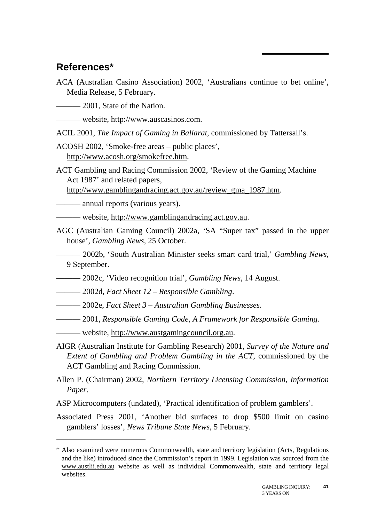### **References\***

 $\overline{a}$ 

ACA (Australian Casino Association) 2002, 'Australians continue to bet online', Media Release, 5 February.

——— 2001. State of the Nation.

——— website, http://www.auscasinos.com.

ACIL 2001, *The Impact of Gaming in Ballarat*, commissioned by Tattersall's.

ACOSH 2002, 'Smoke-free areas – public places', http://www.acosh.org/smokefree.htm.

ACT Gambling and Racing Commission 2002, 'Review of the Gaming Machine Act 1987' and related papers,

http://www.gamblingandracing.act.gov.au/review\_gma\_1987.htm.

——— annual reports (various years).

——— website, http://www.gamblingandracing.act.gov.au.

- AGC (Australian Gaming Council) 2002a, 'SA "Super tax" passed in the upper house', *Gambling News*, 25 October.
- ——— 2002b, 'South Australian Minister seeks smart card trial,' *Gambling News*, 9 September.
- ——— 2002c, 'Video recognition trial', *Gambling News*, 14 August.
- ——— 2002d, *Fact Sheet 12 Responsible Gambling*.
- ——— 2002e, *Fact Sheet 3 Australian Gambling Businesses*.
- ——— 2001, *Responsible Gaming Code, A Framework for Responsible Gaming.*
- website, http://www.austgamingcouncil.org.au.
- AIGR (Australian Institute for Gambling Research) 2001, *Survey of the Nature and Extent of Gambling and Problem Gambling in the ACT*, commissioned by the ACT Gambling and Racing Commission.
- Allen P. (Chairman) 2002, *Northern Territory Licensing Commission, Information Paper*.
- ASP Microcomputers (undated), 'Practical identification of problem gamblers'.
- Associated Press 2001, 'Another bid surfaces to drop \$500 limit on casino gamblers' losses', *News Tribune State News*, 5 February.

<sup>\*</sup> Also examined were numerous Commonwealth, state and territory legislation (Acts, Regulations and the like) introduced since the Commission's report in 1999. Legislation was sourced from the www.austlii.edu.au website as well as individual Commonwealth, state and territory legal websites.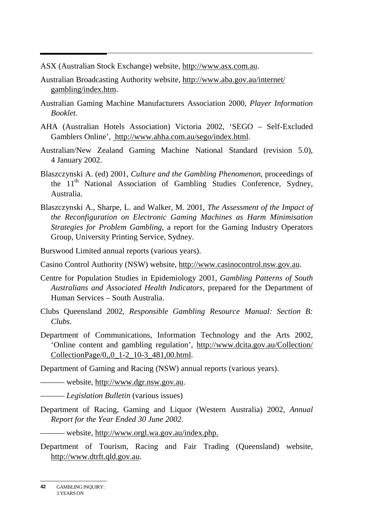ASX (Australian Stock Exchange) website, http://www.asx.com.au.

- Australian Broadcasting Authority website, http://www.aba.gov.au/internet/ gambling/index.htm.
- Australian Gaming Machine Manufacturers Association 2000, *Player Information Booklet*.
- AHA (Australian Hotels Association) Victoria 2002, 'SEGO Self-Excluded Gamblers Online', http://www.ahha.com.au/sego/index.html.
- Australian/New Zealand Gaming Machine National Standard (revision 5.0), 4 January 2002.
- Blaszczynski A. (ed) 2001, *Culture and the Gambling Phenomenon*, proceedings of the 11<sup>th</sup> National Association of Gambling Studies Conference, Sydney, Australia.
- Blaszczynski A., Sharpe, L. and Walker, M. 2001, *The Assessment of the Impact of the Reconfiguration on Electronic Gaming Machines as Harm Minimisation Strategies for Problem Gambling*, a report for the Gaming Industry Operators Group, University Printing Service, Sydney.

Burswood Limited annual reports (various years).

Casino Control Authority (NSW) website, http://www.casinocontrol.nsw.gov.au.

- Centre for Population Studies in Epidemiology 2001, *Gambling Patterns of South Australians and Associated Health Indicators*, prepared for the Department of Human Services – South Australia.
- Clubs Queensland 2002, *Responsible Gambling Resource Manual: Section B: Clubs*.
- Department of Communications, Information Technology and the Arts 2002, 'Online content and gambling regulation', http://www.dcita.gov.au/Collection/ CollectionPage/0,,0\_1-2\_10-3\_481,00.html.

Department of Gaming and Racing (NSW) annual reports (various years).

——— website, http://www.dgr.nsw.gov.au.

——— *Legislation Bulletin* (various issues)

Department of Racing, Gaming and Liquor (Western Australia) 2002, *Annual Report for the Year Ended 30 June 2002*.

——— website, http://www.orgl.wa.gov.au/index.php.

Department of Tourism, Racing and Fair Trading (Queensland) website, http://www.dtrft.qld.gov.au.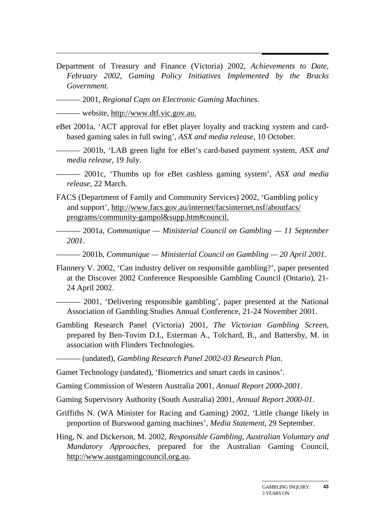Department of Treasury and Finance (Victoria) 2002, *Achievements to Date, February 2002, Gaming Policy Initiatives Implemented by the Bracks Government.*

——— 2001, *Regional Caps on Electronic Gaming Machines*.

——— website, http://www.dtf.vic.gov.au.

- eBet 2001a, 'ACT approval for eBet player loyalty and tracking system and cardbased gaming sales in full swing', *ASX and media release*, 10 October.
	- ——— 2001b, 'LAB green light for eBet's card-based payment system, *ASX and media release*, 19 July.

——— 2001c, 'Thumbs up for eBet cashless gaming system', *ASX and media release*, 22 March.

FACS (Department of Family and Community Services) 2002, 'Gambling policy and support', http://www.facs.gov.au/internet/facsinternet.nsf/aboutfacs/ programs/community-gampol&supp.htm#council.

——— 2001a, *Communique — Ministerial Council on Gambling — 11 September 2001*.

——— 2001b, *Communique — Ministerial Council on Gambling — 20 April 2001.*

Flannery V. 2002, 'Can industry deliver on responsible gambling?', paper presented at the Discover 2002 Conference Responsible Gambling Council (Ontario), 21- 24 April 2002.

——— 2001, 'Delivering responsible gambling', paper presented at the National Association of Gambling Studies Annual Conference, 21-24 November 2001.

Gambling Research Panel (Victoria) 2001, *The Victorian Gambling Screen*, prepared by Ben-Tovim D.I., Esterman A., Tolchard, B., and Battersby, M. in association with Flinders Technologies.

——— (undated), *Gambling Research Panel 2002-03 Research Plan*.

Gamet Technology (undated), 'Biometrics and smart cards in casinos'.

Gaming Commission of Western Australia 2001, *Annual Report 2000-2001*.

Gaming Supervisory Authority (South Australia) 2001, *Annual Report 2000-01*.

- Griffiths N. (WA Minister for Racing and Gaming) 2002, 'Little change likely in proportion of Burswood gaming machines', *Media Statement*, 29 September.
- Hing, N. and Dickerson, M. 2002, *Responsible Gambling, Australian Voluntary and Mandatory Approaches*, prepared for the Australian Gaming Council, http://www.austgamingcouncil.org.au.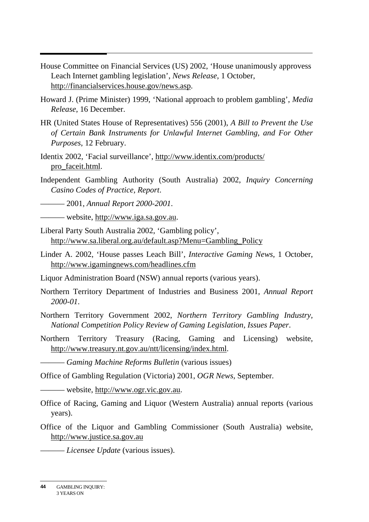- House Committee on Financial Services (US) 2002, 'House unanimously approvess Leach Internet gambling legislation', *News Release*, 1 October, http://financialservices.house.gov/news.asp.
- Howard J. (Prime Minister) 1999, 'National approach to problem gambling', *Media Release*, 16 December.
- HR (United States House of Representatives) 556 (2001), *A Bill to Prevent the Use of Certain Bank Instruments for Unlawful Internet Gambling, and For Other Purposes*, 12 February.
- Identix 2002, 'Facial surveillance', http://www.identix.com/products/ pro\_faceit.html.
- Independent Gambling Authority (South Australia) 2002, *Inquiry Concerning Casino Codes of Practice, Report*.

——— 2001, *Annual Report 2000-2001*.

——— website, http://www.iga.sa.gov.au.

- Liberal Party South Australia 2002, 'Gambling policy', http://www.sa.liberal.org.au/default.asp?Menu=Gambling\_Policy
- Linder A. 2002, 'House passes Leach Bill', *Interactive Gaming News*, 1 October, http://www.igamingnews.com/headlines.cfm

Liquor Administration Board (NSW) annual reports (various years).

- Northern Territory Department of Industries and Business 2001, *Annual Report 2000-01*.
- Northern Territory Government 2002, *Northern Territory Gambling Industry, National Competition Policy Review of Gaming Legislation, Issues Paper*.
- Northern Territory Treasury (Racing, Gaming and Licensing) website, http://www.treasury.nt.gov.au/ntt/licensing/index.html.

——— *Gaming Machine Reforms Bulletin* (various issues)

Office of Gambling Regulation (Victoria) 2001, *OGR News*, September.

——— website, http://www.ogr.vic.gov.au.

- Office of Racing, Gaming and Liquor (Western Australia) annual reports (various years).
- Office of the Liquor and Gambling Commissioner (South Australia) website, http://www.justice.sa.gov.au

——— *Licensee Update* (various issues).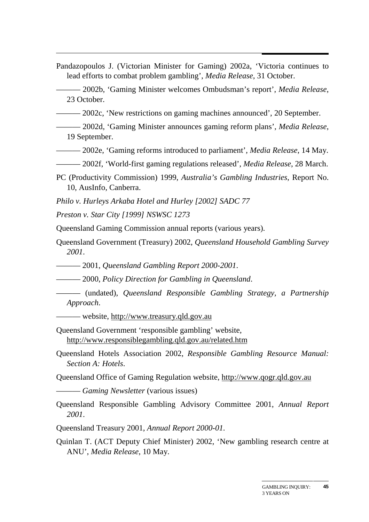- Pandazopoulos J. (Victorian Minister for Gaming) 2002a, 'Victoria continues to lead efforts to combat problem gambling', *Media Release*, 31 October.
- ——— 2002b, 'Gaming Minister welcomes Ombudsman's report', *Media Release*, 23 October.
- ——— 2002c, 'New restrictions on gaming machines announced', 20 September.
- ——— 2002d, 'Gaming Minister announces gaming reform plans', *Media Release*, 19 September.
- ——— 2002e, 'Gaming reforms introduced to parliament', *Media Release*, 14 May.
- ——— 2002f, 'World-first gaming regulations released', *Media Release*, 28 March.
- PC (Productivity Commission) 1999, *Australia's Gambling Industries*, Report No. 10, AusInfo, Canberra.
- *Philo v. Hurleys Arkaba Hotel and Hurley [2002] SADC 77*
- *Preston v. Star City [1999] NSWSC 1273*
- Queensland Gaming Commission annual reports (various years).
- Queensland Government (Treasury) 2002, *Queensland Household Gambling Survey 2001*.
- ——— 2001, *Queensland Gambling Report 2000-2001*.
- ——— 2000, *Policy Direction for Gambling in Queensland*.
- ——— (undated), *Queensland Responsible Gambling Strategy, a Partnership Approach*.
- ——— website, http://www.treasury.qld.gov.au
- Queensland Government 'responsible gambling' website, http://www.responsiblegambling.qld.gov.au/related.htm
- Queensland Hotels Association 2002, *Responsible Gambling Resource Manual: Section A: Hotels*.
- Queensland Office of Gaming Regulation website, http://www.qogr.qld.gov.au
- ——— *Gaming Newsletter* (various issues)
- Queensland Responsible Gambling Advisory Committee 2001, *Annual Report 2001*.
- Queensland Treasury 2001, *Annual Report 2000-01.*
- Quinlan T. (ACT Deputy Chief Minister) 2002, 'New gambling research centre at ANU', *Media Release*, 10 May.